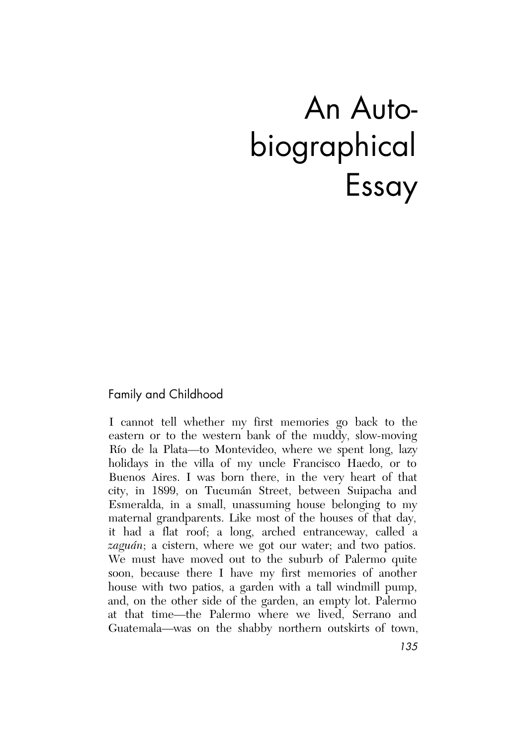# An Autobiographical Essay

# Family and Childhood

I cannot tell whether my first memories go back to the eastern or to the western bank of the muddy, slow-moving Río de la Plata—to Montevideo, where we spent long, lazy holidays in the villa of my uncle Francisco Haedo, or to Buenos Aires. I was born there, in the very heart of that city, in 1899, on Tucumán Street, between Suipacha and Esmeralda, in a small, unassuming house belonging to my maternal grandparents. Like most of the houses of that day, it had a flat roof; a long, arched entranceway, called a *zaguán*; a cistern, where we got our water; and two patios. We must have moved out to the suburb of Palermo quite soon, because there I have my first memories of another house with two patios, a garden with a tall windmill pump, and, on the other side of the garden, an empty lot. Palermo at that time—the Palermo where we lived, Serrano and Guatemala—was on the shabby northern outskirts of town,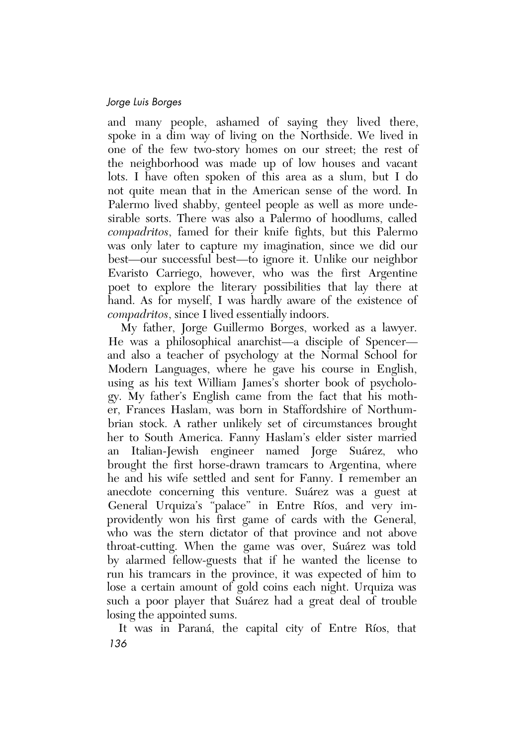and many people, ashamed of saying they lived there, spoke in a dim way of living on the Northside. We lived in one of the few two-story homes on our street; the rest of the neighborhood was made up of low houses and vacant lots. I have often spoken of this area as a slum, but I do not quite mean that in the American sense of the word. In Palermo lived shabby, genteel people as well as more undesirable sorts. There was also a Palermo of hoodlums, called *compadritos*, famed for their knife fights, but this Palermo was only later to capture my imagination, since we did our best—our successful best—to ignore it. Unlike our neighbor Evaristo Carriego, however, who was the first Argentine poet to explore the literary possibilities that lay there at hand. As for myself, I was hardly aware of the existence of *compadritos*, since I lived essentially indoors.

My father, Jorge Guillermo Borges, worked as a lawyer. He was a philosophical anarchist—a disciple of Spencer and also a teacher of psychology at the Normal School for Modern Languages, where he gave his course in English, using as his text William James's shorter book of psychology. My father's English came from the fact that his mother, Frances Haslam, was born in Staffordshire of Northumbrian stock. A rather unlikely set of circumstances brought her to South America. Fanny Haslam's elder sister married an Italian-Jewish engineer named Jorge Suárez, who brought the first horse-drawn tramcars to Argentina, where he and his wife settled and sent for Fanny. I remember an anecdote concerning this venture. Suárez was a guest at General Urquiza's "palace" in Entre Ríos, and very improvidently won his first game of cards with the General, who was the stern dictator of that province and not above throat-cutting. When the game was over, Suárez was told by alarmed fellow-guests that if he wanted the license to run his tramcars in the province, it was expected of him to lose a certain amount of gold coins each night. Urquiza was such a poor player that Suárez had a great deal of trouble losing the appointed sums.

It was in Paraná, the capital city of Entre Ríos, that *136*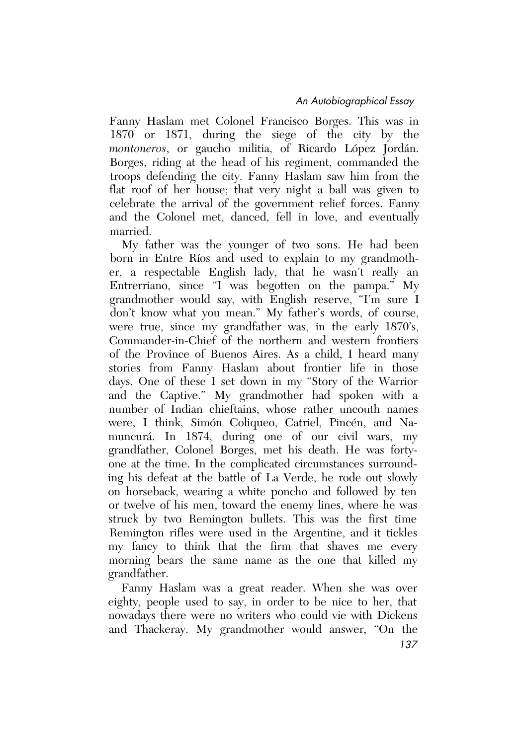Fanny Haslam met Colonel Francisco Borges. This was in 1870 or 1871, during the siege of the city by the *montoneros*, or gaucho militia, of Ricardo López Jordán. Borges, riding at the head of his regiment, commanded the troops defending the city. Fanny Haslam saw him from the flat roof of her house; that very night a ball was given to celebrate the arrival of the government relief forces. Fanny and the Colonel met, danced, fell in love, and eventually married.

My father was the younger of two sons. He had been born in Entre Ríos and used to explain to my grandmother, a respectable English lady, that he wasn't really an Entrerriano, since "I was begotten on the pampa." My grandmother would say, with English reserve, "I'm sure I don't know what you mean." My father's words, of course, were true, since my grandfather was, in the early 1870's, Commander-in-Chief of the northern and western frontiers of the Province of Buenos Aires. As a child, I heard many stories from Fanny Haslam about frontier life in those days. One of these I set down in my "Story of the Warrior and the Captive." My grandmother had spoken with a number of Indian chieftains, whose rather uncouth names were, I think, Simón Coliqueo, Catriel, Pincén, and Namuncurá. In 1874, during one of our civil wars, my grandfather, Colonel Borges, met his death. He was fortyone at the time. In the complicated circumstances surrounding his defeat at the battle of La Verde, he rode out slowly on horseback, wearing a white poncho and followed by ten or twelve of his men, toward the enemy lines, where he was struck by two Remington bullets. This was the first time Remington rifles were used in the Argentine, and it tickles my fancy to think that the firm that shaves me every morning bears the same name as the one that killed my grandfather.

Fanny Haslam was a great reader. When she was over eighty, people used to say, in order to be nice to her, that nowadays there were no writers who could vie with Dickens and Thackeray. My grandmother would answer, "On the *137*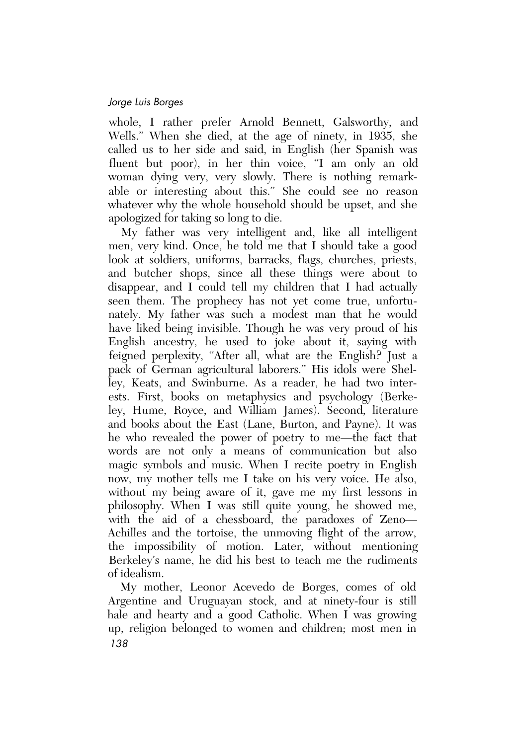whole, I rather prefer Arnold Bennett, Galsworthy, and Wells." When she died, at the age of ninety, in 1935, she called us to her side and said, in English (her Spanish was fluent but poor), in her thin voice, "I am only an old woman dying very, very slowly. There is nothing remarkable or interesting about this." She could see no reason whatever why the whole household should be upset, and she apologized for taking so long to die.

My father was very intelligent and, like all intelligent men, very kind. Once, he told me that I should take a good look at soldiers, uniforms, barracks, flags, churches, priests, and butcher shops, since all these things were about to disappear, and I could tell my children that I had actually seen them. The prophecy has not yet come true, unfortunately. My father was such a modest man that he would have liked being invisible. Though he was very proud of his English ancestry, he used to joke about it, saying with feigned perplexity, "After all, what are the English? Just a pack of German agricultural laborers." His idols were Shelley, Keats, and Swinburne. As a reader, he had two interests. First, books on metaphysics and psychology (Berkeley, Hume, Royce, and William James). Second, literature and books about the East (Lane, Burton, and Payne). It was he who revealed the power of poetry to me—the fact that words are not only a means of communication but also magic symbols and music. When I recite poetry in English now, my mother tells me I take on his very voice. He also, without my being aware of it, gave me my first lessons in philosophy. When I was still quite young, he showed me, with the aid of a chessboard, the paradoxes of Zeno— Achilles and the tortoise, the unmoving flight of the arrow, the impossibility of motion. Later, without mentioning Berkeley's name, he did his best to teach me the rudiments of idealism.

My mother, Leonor Acevedo de Borges, comes of old Argentine and Uruguayan stock, and at ninety-four is still hale and hearty and a good Catholic. When I was growing up, religion belonged to women and children; most men in *138*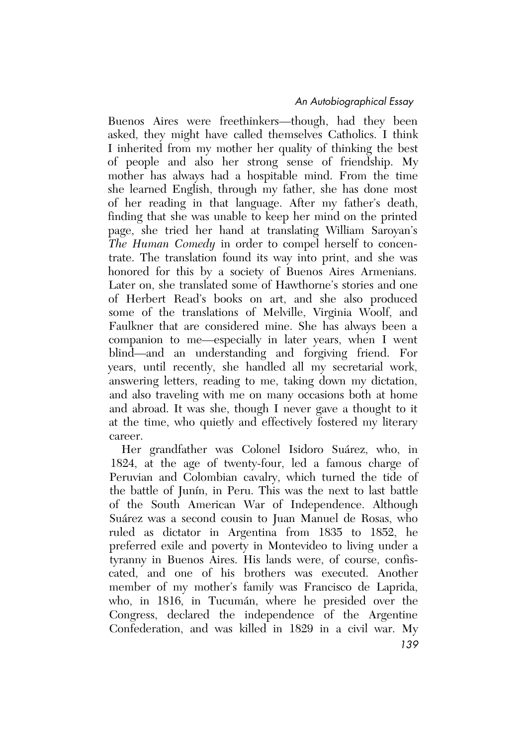Buenos Aires were freethinkers—though, had they been asked, they might have called themselves Catholics. I think I inherited from my mother her quality of thinking the best of people and also her strong sense of friendship. My mother has always had a hospitable mind. From the time she learned English, through my father, she has done most of her reading in that language. After my father's death, finding that she was unable to keep her mind on the printed page, she tried her hand at translating William Saroyan's *The Human Comedy* in order to compel herself to concentrate. The translation found its way into print, and she was honored for this by a society of Buenos Aires Armenians. Later on, she translated some of Hawthorne's stories and one of Herbert Read's books on art, and she also produced some of the translations of Melville, Virginia Woolf, and Faulkner that are considered mine. She has always been a companion to me—especially in later years, when I went blind—and an understanding and forgiving friend. For years, until recently, she handled all my secretarial work, answering letters, reading to me, taking down my dictation, and also traveling with me on many occasions both at home and abroad. It was she, though I never gave a thought to it at the time, who quietly and effectively fostered my literary career.

Her grandfather was Colonel Isidoro Suárez, who, in 1824, at the age of twenty-four, led a famous charge of Peruvian and Colombian cavalry, which turned the tide of the battle of Junín, in Peru. This was the next to last battle of the South American War of Independence. Although Suárez was a second cousin to Juan Manuel de Rosas, who ruled as dictator in Argentina from 1835 to 1852, he preferred exile and poverty in Montevideo to living under a tyranny in Buenos Aires. His lands were, of course, confiscated, and one of his brothers was executed. Another member of my mother's family was Francisco de Laprida, who, in 1816, in Tucumán, where he presided over the Congress, declared the independence of the Argentine Confederation, and was killed in 1829 in a civil war. My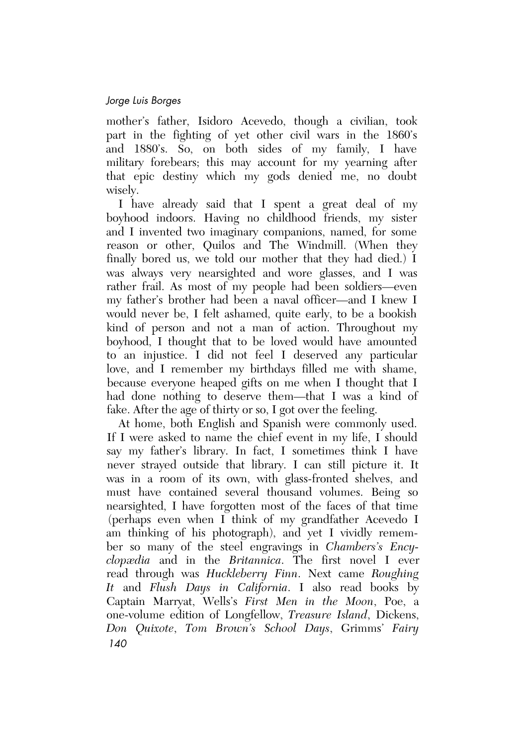mother's father, Isidoro Acevedo, though a civilian, took part in the fighting of yet other civil wars in the 1860's and 1880's. So, on both sides of my family, I have military forebears; this may account for my yearning after that epic destiny which my gods denied me, no doubt wisely.

I have already said that I spent a great deal of my boyhood indoors. Having no childhood friends, my sister and I invented two imaginary companions, named, for some reason or other, Quilos and The Windmill. (When they finally bored us, we told our mother that they had died.) I was always very nearsighted and wore glasses, and I was rather frail. As most of my people had been soldiers—even my father's brother had been a naval officer—and I knew I would never be, I felt ashamed, quite early, to be a bookish kind of person and not a man of action. Throughout my boyhood, I thought that to be loved would have amounted to an injustice. I did not feel I deserved any particular love, and I remember my birthdays filled me with shame, because everyone heaped gifts on me when I thought that I had done nothing to deserve them—that I was a kind of fake. After the age of thirty or so, I got over the feeling.

At home, both English and Spanish were commonly used. If I were asked to name the chief event in my life, I should say my father's library. In fact, I sometimes think I have never strayed outside that library. I can still picture it. It was in a room of its own, with glass-fronted shelves, and must have contained several thousand volumes. Being so nearsighted, I have forgotten most of the faces of that time (perhaps even when I think of my grandfather Acevedo I am thinking of his photograph), and yet I vividly remember so many of the steel engravings in *Chambers's Encyclopædia* and in the *Britannica*. The first novel I ever read through was *Huckleberry Finn*. Next came *Roughing It* and *Flush Days in California*. I also read books by Captain Marryat, Wells's *First Men in the Moon*, Poe, a one-volume edition of Longfellow, *Treasure Island*, Dickens, *Don Quixote*, *Tom Brown's School Days*, Grimms' *Fairy 140*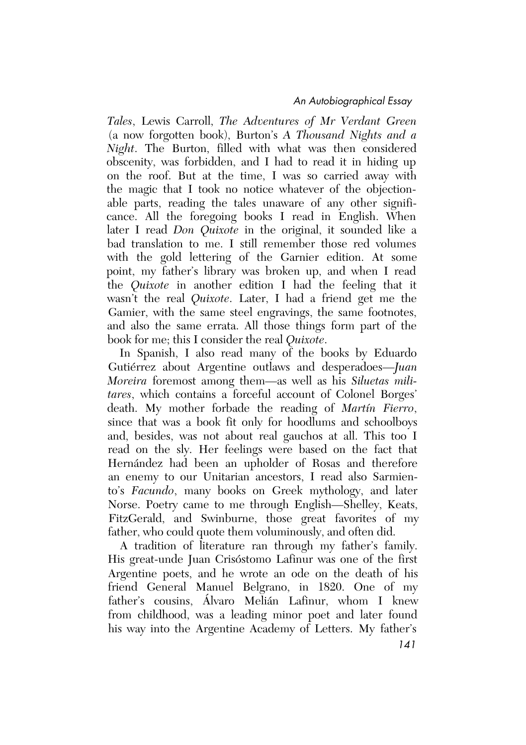#### *An Autobiographical Essay*

*Tales*, Lewis Carroll, *The Adventures of Mr Verdant Green* (a now forgotten book), Burton's *A Thousand Nights and a Night*. The Burton, filled with what was then considered obscenity, was forbidden, and I had to read it in hiding up on the roof. But at the time, I was so carried away with the magic that I took no notice whatever of the objectionable parts, reading the tales unaware of any other significance. All the foregoing books I read in English. When later I read *Don Quixote* in the original, it sounded like a bad translation to me. I still remember those red volumes with the gold lettering of the Garnier edition. At some point, my father's library was broken up, and when I read the *Quixote* in another edition I had the feeling that it wasn't the real *Quixote*. Later, I had a friend get me the Gamier, with the same steel engravings, the same footnotes, and also the same errata. All those things form part of the book for me; this I consider the real *Quixote*.

In Spanish, I also read many of the books by Eduardo Gutiérrez about Argentine outlaws and desperadoes—*Juan Moreira* foremost among them—as well as his *Siluetas militares*, which contains a forceful account of Colonel Borges' death. My mother forbade the reading of *Martín Fierro*, since that was a book fit only for hoodlums and schoolboys and, besides, was not about real gauchos at all. This too I read on the sly. Her feelings were based on the fact that Hernández had been an upholder of Rosas and therefore an enemy to our Unitarian ancestors, I read also Sarmiento's *Facundo*, many books on Greek mythology, and later Norse. Poetry came to me through English—Shelley, Keats, FitzGerald, and Swinburne, those great favorites of my father, who could quote them voluminously, and often did.

A tradition of literature ran through my father's family. His great-unde Juan Crisóstomo Lafinur was one of the first Argentine poets, and he wrote an ode on the death of his friend General Manuel Belgrano, in 1820. One of my father's cousins, Álvaro Melián Lafinur, whom I knew from childhood, was a leading minor poet and later found his way into the Argentine Academy of Letters. My father's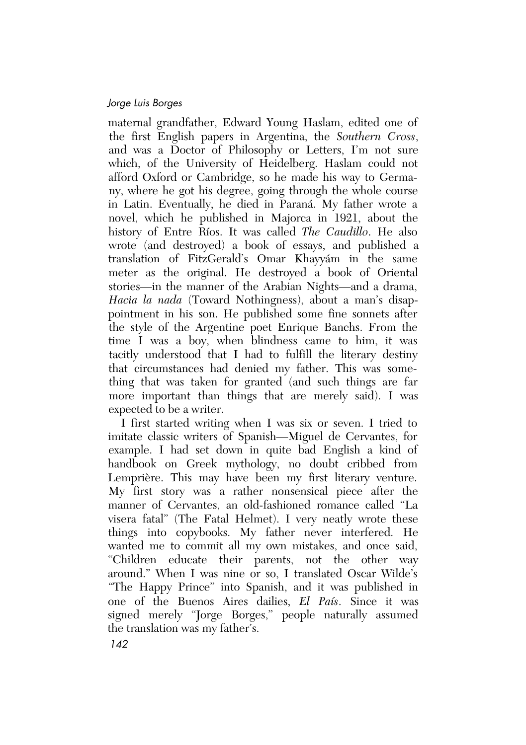maternal grandfather, Edward Young Haslam, edited one of the first English papers in Argentina, the *Southern Cross*, and was a Doctor of Philosophy or Letters, I'm not sure which, of the University of Heidelberg. Haslam could not afford Oxford or Cambridge, so he made his way to Germany, where he got his degree, going through the whole course in Latin. Eventually, he died in Paraná. My father wrote a novel, which he published in Majorca in 1921, about the history of Entre Ríos. It was called *The Caudillo*. He also wrote (and destroyed) a book of essays, and published a translation of FitzGerald's Omar Khayyám in the same meter as the original. He destroyed a book of Oriental stories—in the manner of the Arabian Nights—and a drama, *Hacia la nada* (Toward Nothingness), about a man's disappointment in his son. He published some fine sonnets after the style of the Argentine poet Enrique Banchs. From the time I was a boy, when blindness came to him, it was tacitly understood that I had to fulfill the literary destiny that circumstances had denied my father. This was something that was taken for granted (and such things are far more important than things that are merely said). I was expected to be a writer.

I first started writing when I was six or seven. I tried to imitate classic writers of Spanish—Miguel de Cervantes, for example. I had set down in quite bad English a kind of handbook on Greek mythology, no doubt cribbed from Lemprière. This may have been my first literary venture. My first story was a rather nonsensical piece after the manner of Cervantes, an old-fashioned romance called "La visera fatal" (The Fatal Helmet). I very neatly wrote these things into copybooks. My father never interfered. He wanted me to commit all my own mistakes, and once said, "Children educate their parents, not the other way around." When I was nine or so, I translated Oscar Wilde's "The Happy Prince" into Spanish, and it was published in one of the Buenos Aires dailies, *El País*. Since it was signed merely "Jorge Borges," people naturally assumed the translation was my father's.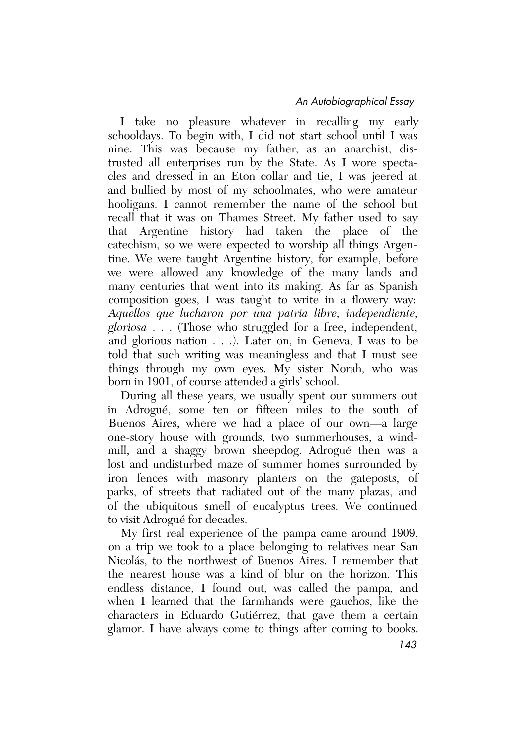I take no pleasure whatever in recalling my early schooldays. To begin with, I did not start school until I was nine. This was because my father, as an anarchist, distrusted all enterprises run by the State. As I wore spectacles and dressed in an Eton collar and tie, I was jeered at and bullied by most of my schoolmates, who were amateur hooligans. I cannot remember the name of the school but recall that it was on Thames Street. My father used to say that Argentine history had taken the place of the catechism, so we were expected to worship all things Argentine. We were taught Argentine history, for example, before we were allowed any knowledge of the many lands and many centuries that went into its making. As far as Spanish composition goes, I was taught to write in a flowery way: *Aquellos que lucharon por una patria libre, independiente, gloriosa* . . . (Those who struggled for a free, independent, and glorious nation . . .). Later on, in Geneva, I was to be told that such writing was meaningless and that I must see things through my own eyes. My sister Norah, who was born in 1901, of course attended a girls' school.

During all these years, we usually spent our summers out in Adrogué, some ten or fifteen miles to the south of Buenos Aires, where we had a place of our own—a large one-story house with grounds, two summerhouses, a windmill, and a shaggy brown sheepdog. Adrogué then was a lost and undisturbed maze of summer homes surrounded by iron fences with masonry planters on the gateposts, of parks, of streets that radiated out of the many plazas, and of the ubiquitous smell of eucalyptus trees. We continued to visit Adrogué for decades.

My first real experience of the pampa came around 1909, on a trip we took to a place belonging to relatives near San Nicolás, to the northwest of Buenos Aires. I remember that the nearest house was a kind of blur on the horizon. This endless distance, I found out, was called the pampa, and when I learned that the farmhands were gauchos, like the characters in Eduardo Gutiérrez, that gave them a certain glamor. I have always come to things after coming to books.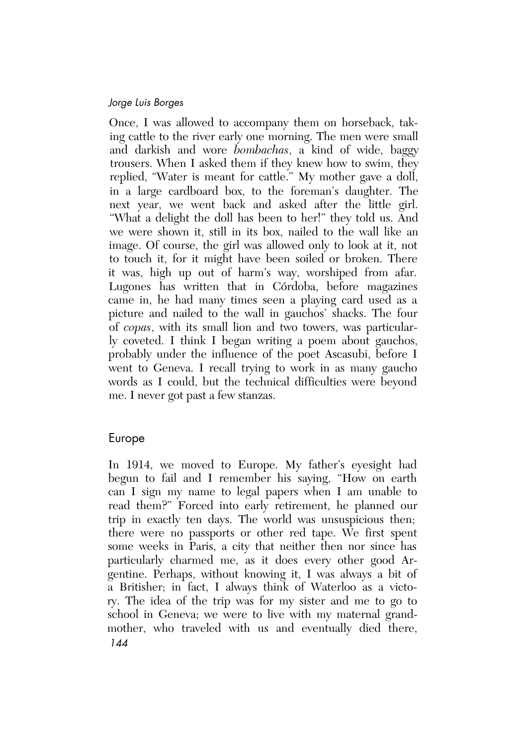Once, I was allowed to accompany them on horseback, taking cattle to the river early one morning. The men were small and darkish and wore *bombachas*, a kind of wide, baggy trousers. When I asked them if they knew how to swim, they replied, "Water is meant for cattle." My mother gave a doll, in a large cardboard box, to the foreman's daughter. The next year, we went back and asked after the little girl. "What a delight the doll has been to her!" they told us. And we were shown it, still in its box, nailed to the wall like an image. Of course, the girl was allowed only to look at it, not to touch it, for it might have been soiled or broken. There it was, high up out of harm's way, worshiped from afar. Lugones has written that in Córdoba, before magazines came in, he had many times seen a playing card used as a picture and nailed to the wall in gauchos' shacks. The four of *copas*, with its small lion and two towers, was particularly coveted. I think I began writing a poem about gauchos, probably under the influence of the poet Ascasubi, before I went to Geneva. I recall trying to work in as many gaucho words as I could, but the technical difficulties were beyond me. I never got past a few stanzas.

# Europe

In 1914, we moved to Europe. My father's eyesight had begun to fail and I remember his saying, "How on earth can I sign my name to legal papers when I am unable to read them?" Forced into early retirement, he planned our trip in exactly ten days. The world was unsuspicious then; there were no passports or other red tape. We first spent some weeks in Paris, a city that neither then nor since has particularly charmed me, as it does every other good Argentine. Perhaps, without knowing it, I was always a bit of a Britisher; in fact, I always think of Waterloo as a victory. The idea of the trip was for my sister and me to go to school in Geneva; we were to live with my maternal grandmother, who traveled with us and eventually died there, *144*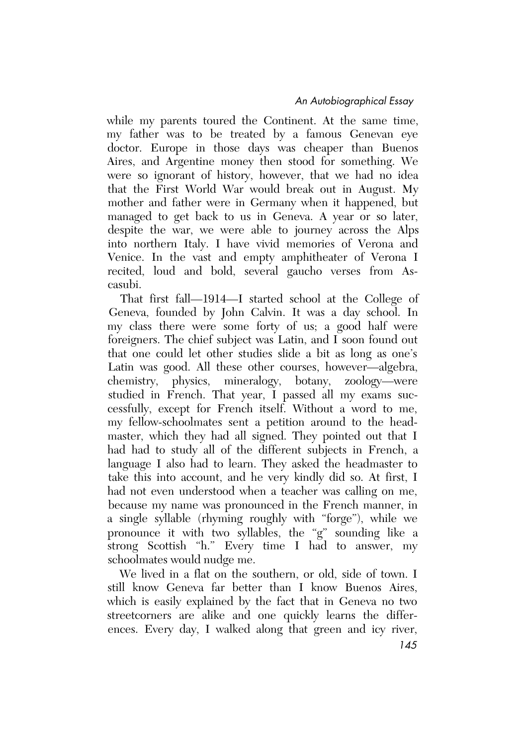while my parents toured the Continent. At the same time, my father was to be treated by a famous Genevan eye doctor. Europe in those days was cheaper than Buenos Aires, and Argentine money then stood for something. We were so ignorant of history, however, that we had no idea that the First World War would break out in August. My mother and father were in Germany when it happened, but managed to get back to us in Geneva. A year or so later, despite the war, we were able to journey across the Alps into northern Italy. I have vivid memories of Verona and Venice. In the vast and empty amphitheater of Verona I recited, loud and bold, several gaucho verses from Ascasubi.

That first fall—1914—I started school at the College of Geneva, founded by John Calvin. It was a day school. In my class there were some forty of us; a good half were foreigners. The chief subject was Latin, and I soon found out that one could let other studies slide a bit as long as one's Latin was good. All these other courses, however—algebra, chemistry, physics, mineralogy, botany, zoology—were studied in French. That year, I passed all my exams successfully, except for French itself. Without a word to me, my fellow-schoolmates sent a petition around to the headmaster, which they had all signed. They pointed out that I had had to study all of the different subjects in French, a language I also had to learn. They asked the headmaster to take this into account, and he very kindly did so. At first, I had not even understood when a teacher was calling on me, because my name was pronounced in the French manner, in a single syllable (rhyming roughly with "forge"), while we pronounce it with two syllables, the "g" sounding like a strong Scottish "h." Every time I had to answer, my schoolmates would nudge me.

We lived in a flat on the southern, or old, side of town. I still know Geneva far better than I know Buenos Aires, which is easily explained by the fact that in Geneva no two streetcorners are alike and one quickly learns the differences. Every day, I walked along that green and icy river,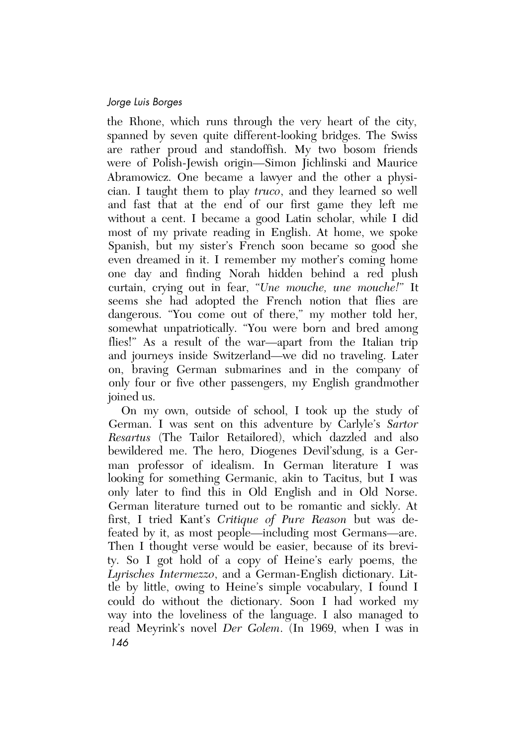the Rhone, which runs through the very heart of the city, spanned by seven quite different-looking bridges. The Swiss are rather proud and standoffish. My two bosom friends were of Polish-Jewish origin—Simon Jichlinski and Maurice Abramowicz. One became a lawyer and the other a physician. I taught them to play *truco*, and they learned so well and fast that at the end of our first game they left me without a cent. I became a good Latin scholar, while I did most of my private reading in English. At home, we spoke Spanish, but my sister's French soon became so good she even dreamed in it. I remember my mother's coming home one day and finding Norah hidden behind a red plush curtain, crying out in fear, "*Une mouche, une mouche!*" It seems she had adopted the French notion that flies are dangerous. "You come out of there," my mother told her, somewhat unpatriotically. "You were born and bred among flies!" As a result of the war—apart from the Italian trip and journeys inside Switzerland—we did no traveling. Later on, braving German submarines and in the company of only four or five other passengers, my English grandmother joined us.

On my own, outside of school, I took up the study of German. I was sent on this adventure by Carlyle's *Sartor Resartus* (The Tailor Retailored), which dazzled and also bewildered me. The hero, Diogenes Devil'sdung, is a German professor of idealism. In German literature I was looking for something Germanic, akin to Tacitus, but I was only later to find this in Old English and in Old Norse. German literature turned out to be romantic and sickly. At first, I tried Kant's *Critique of Pure Reason* but was defeated by it, as most people—including most Germans—are. Then I thought verse would be easier, because of its brevity. So I got hold of a copy of Heine's early poems, the *Lyrisches Intermezzo*, and a German-English dictionary. Little by little, owing to Heine's simple vocabulary, I found I could do without the dictionary. Soon I had worked my way into the loveliness of the language. I also managed to read Meyrink's novel *Der Golem*. (In 1969, when I was in *146*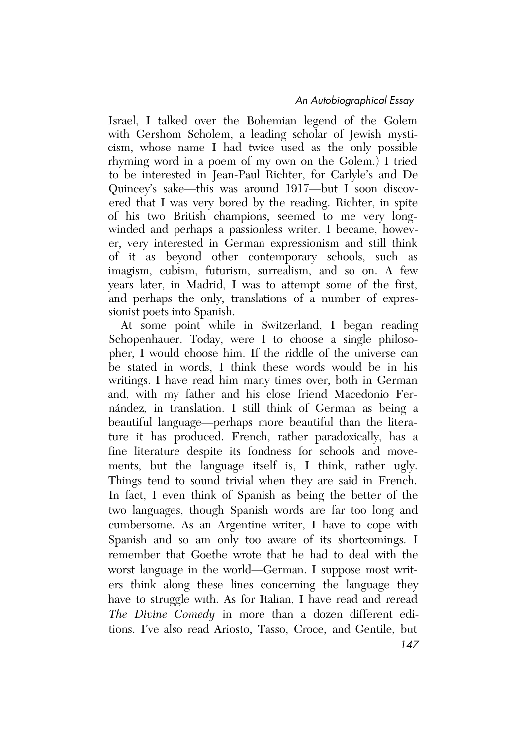Israel, I talked over the Bohemian legend of the Golem with Gershom Scholem, a leading scholar of Jewish mysticism, whose name I had twice used as the only possible rhyming word in a poem of my own on the Golem.) I tried to be interested in Jean-Paul Richter, for Carlyle's and De Quincey's sake—this was around 1917—but I soon discovered that I was very bored by the reading. Richter, in spite of his two British champions, seemed to me very longwinded and perhaps a passionless writer. I became, however, very interested in German expressionism and still think of it as beyond other contemporary schools, such as imagism, cubism, futurism, surrealism, and so on. A few years later, in Madrid, I was to attempt some of the first, and perhaps the only, translations of a number of expressionist poets into Spanish.

At some point while in Switzerland, I began reading Schopenhauer. Today, were I to choose a single philosopher, I would choose him. If the riddle of the universe can be stated in words, I think these words would be in his writings. I have read him many times over, both in German and, with my father and his close friend Macedonio Fernández, in translation. I still think of German as being a beautiful language—perhaps more beautiful than the literature it has produced. French, rather paradoxically, has a fine literature despite its fondness for schools and movements, but the language itself is, I think, rather ugly. Things tend to sound trivial when they are said in French. In fact, I even think of Spanish as being the better of the two languages, though Spanish words are far too long and cumbersome. As an Argentine writer, I have to cope with Spanish and so am only too aware of its shortcomings. I remember that Goethe wrote that he had to deal with the worst language in the world—German. I suppose most writers think along these lines concerning the language they have to struggle with. As for Italian, I have read and reread *The Divine Comedy* in more than a dozen different editions. I've also read Ariosto, Tasso, Croce, and Gentile, but *147*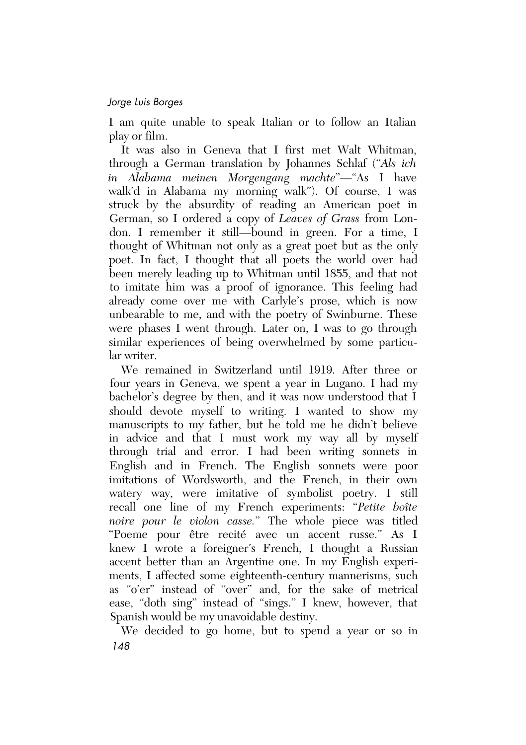I am quite unable to speak Italian or to follow an Italian play or film.

It was also in Geneva that I first met Walt Whitman, through a German translation by Johannes Schlaf ("*Als ich in Alabama meinen Morgengang machte*"—"As I have walk'd in Alabama my morning walk"). Of course, I was struck by the absurdity of reading an American poet in German, so I ordered a copy of *Leaves of Grass* from London. I remember it still—bound in green. For a time, I thought of Whitman not only as a great poet but as the only poet. In fact, I thought that all poets the world over had been merely leading up to Whitman until 1855, and that not to imitate him was a proof of ignorance. This feeling had already come over me with Carlyle's prose, which is now unbearable to me, and with the poetry of Swinburne. These were phases I went through. Later on, I was to go through similar experiences of being overwhelmed by some particular writer.

We remained in Switzerland until 1919. After three or four years in Geneva, we spent a year in Lugano. I had my bachelor's degree by then, and it was now understood that I should devote myself to writing. I wanted to show my manuscripts to my father, but he told me he didn't believe in advice and that I must work my way all by myself through trial and error. I had been writing sonnets in English and in French. The English sonnets were poor imitations of Wordsworth, and the French, in their own watery way, were imitative of symbolist poetry. I still recall one line of my French experiments: "*Petite boîte noire pour le violon casse.*" The whole piece was titled "Poeme pour être recité avec un accent russe." As I knew I wrote a foreigner's French, I thought a Russian accent better than an Argentine one. In my English experiments, I affected some eighteenth-century mannerisms, such as "o'er" instead of "over" and, for the sake of metrical ease, "doth sing" instead of "sings." I knew, however, that Spanish would be my unavoidable destiny.

We decided to go home, but to spend a year or so in *148*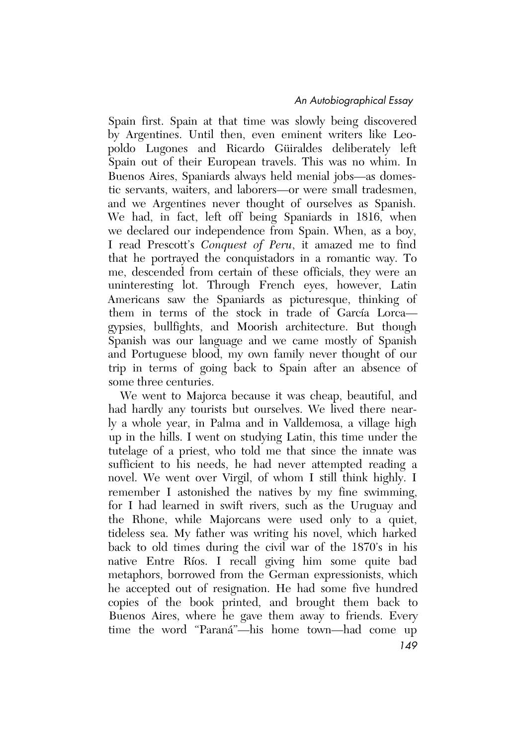Spain first. Spain at that time was slowly being discovered by Argentines. Until then, even eminent writers like Leopoldo Lugones and Ricardo Güiraldes deliberately left Spain out of their European travels. This was no whim. In Buenos Aires, Spaniards always held menial jobs—as domestic servants, waiters, and laborers—or were small tradesmen, and we Argentines never thought of ourselves as Spanish. We had, in fact, left off being Spaniards in 1816, when we declared our independence from Spain. When, as a boy, I read Prescott's *Conquest of Peru*, it amazed me to find that he portrayed the conquistadors in a romantic way. To me, descended from certain of these officials, they were an uninteresting lot. Through French eyes, however, Latin Americans saw the Spaniards as picturesque, thinking of them in terms of the stock in trade of García Lorca gypsies, bullfights, and Moorish architecture. But though Spanish was our language and we came mostly of Spanish and Portuguese blood, my own family never thought of our trip in terms of going back to Spain after an absence of some three centuries.

We went to Majorca because it was cheap, beautiful, and had hardly any tourists but ourselves. We lived there nearly a whole year, in Palma and in Valldemosa, a village high up in the hills. I went on studying Latin, this time under the tutelage of a priest, who told me that since the innate was sufficient to his needs, he had never attempted reading a novel. We went over Virgil, of whom I still think highly. I remember I astonished the natives by my fine swimming, for I had learned in swift rivers, such as the Uruguay and the Rhone, while Majorcans were used only to a quiet, tideless sea. My father was writing his novel, which harked back to old times during the civil war of the 1870's in his native Entre Ríos. I recall giving him some quite bad metaphors, borrowed from the German expressionists, which he accepted out of resignation. He had some five hundred copies of the book printed, and brought them back to Buenos Aires, where he gave them away to friends. Every time the word "Paraná"—his home town—had come up *149*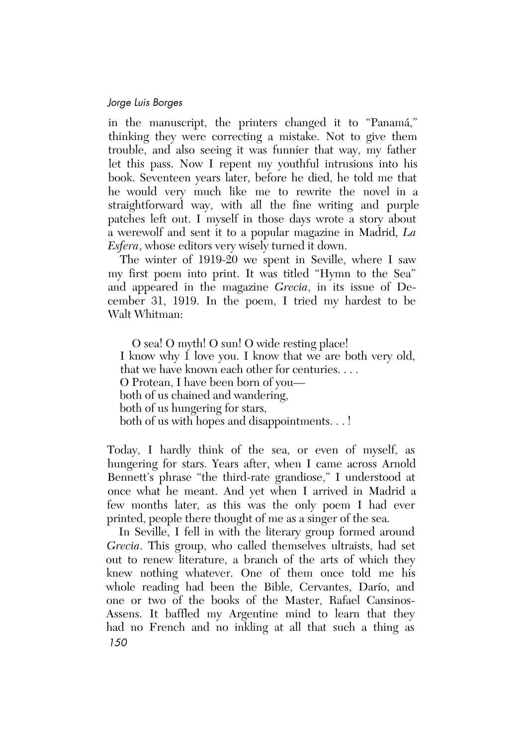in the manuscript, the printers changed it to "Panamá," thinking they were correcting a mistake. Not to give them trouble, and also seeing it was funnier that way, my father let this pass. Now I repent my youthful intrusions into his book. Seventeen years later, before he died, he told me that he would very much like me to rewrite the novel in a straightforward way, with all the fine writing and purple patches left out. I myself in those days wrote a story about a werewolf and sent it to a popular magazine in Madrid, *La Esfera*, whose editors very wisely turned it down.

The winter of 1919-20 we spent in Seville, where I saw my first poem into print. It was titled "Hymn to the Sea" and appeared in the magazine *Grecia*, in its issue of December 31, 1919. In the poem, I tried my hardest to be Walt Whitman:

O sea! O myth! O sun! O wide resting place! I know why 1 love you. I know that we are both very old, that we have known each other for centuries. . . . O Protean, I have been born of you both of us chained and wandering, both of us hungering for stars, both of us with hopes and disappointments. . . !

Today, I hardly think of the sea, or even of myself, as hungering for stars. Years after, when I came across Arnold Bennett's phrase "the third-rate grandiose," I understood at once what he meant. And yet when I arrived in Madrid a few months later, as this was the only poem I had ever printed, people there thought of me as a singer of the sea.

In Seville, I fell in with the literary group formed around *Grecia*. This group, who called themselves ultraists, had set out to renew literature, a branch of the arts of which they knew nothing whatever. One of them once told me his whole reading had been the Bible, Cervantes, Darío, and one or two of the books of the Master, Rafael Cansinos-Assens. It baffled my Argentine mind to learn that they had no French and no inkling at all that such a thing as *150*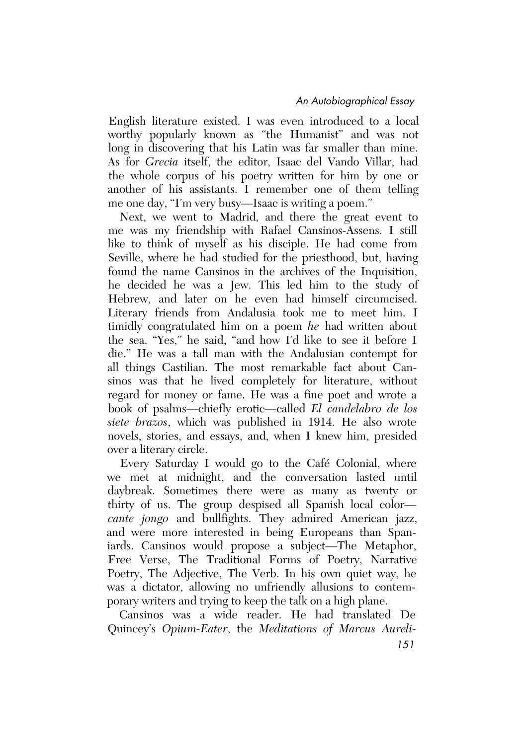English literature existed. I was even introduced to a local worthy popularly known as "the Humanist" and was not long in discovering that his Latin was far smaller than mine. As for *Grecia* itself, the editor, Isaac del Vando Villar, had the whole corpus of his poetry written for him by one or another of his assistants. I remember one of them telling me one day, "I'm very busy—Isaac is writing a poem."

Next, we went to Madrid, and there the great event to me was my friendship with Rafael Cansinos-Assens. I still like to think of myself as his disciple. He had come from Seville, where he had studied for the priesthood, but, having found the name Cansinos in the archives of the Inquisition, he decided he was a Jew. This led him to the study of Hebrew, and later on he even had himself circumcised. Literary friends from Andalusia took me to meet him. I timidly congratulated him on a poem *he* had written about the sea. "Yes," he said, "and how I'd like to see it before I die." He was a tall man with the Andalusian contempt for all things Castilian. The most remarkable fact about Cansinos was that he lived completely for literature, without regard for money or fame. He was a fine poet and wrote a book of psalms—chiefly erotic—called *El candelabro de los siete brazos*, which was published in 1914. He also wrote novels, stories, and essays, and, when I knew him, presided over a literary circle.

Every Saturday I would go to the Café Colonial, where we met at midnight, and the conversation lasted until daybreak. Sometimes there were as many as twenty or thirty of us. The group despised all Spanish local color *cante jongo* and bullfights. They admired American jazz, and were more interested in being Europeans than Spaniards. Cansinos would propose a subject—The Metaphor, Free Verse, The Traditional Forms of Poetry, Narrative Poetry, The Adjective, The Verb. In his own quiet way, he was a dictator, allowing no unfriendly allusions to contemporary writers and trying to keep the talk on a high plane.

Cansinos was a wide reader. He had translated De Quincey's *Opium-Eater*, the *Meditations of Marcus Aureli-*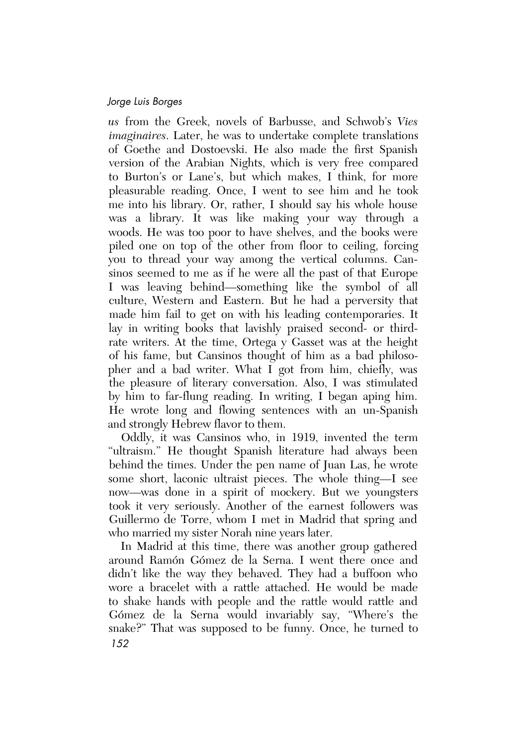*us* from the Greek, novels of Barbusse, and Schwob's *Vies imaginaires*. Later, he was to undertake complete translations of Goethe and Dostoevski. He also made the first Spanish version of the Arabian Nights, which is very free compared to Burton's or Lane's, but which makes, I think, for more pleasurable reading. Once, I went to see him and he took me into his library. Or, rather, I should say his whole house was a library. It was like making your way through a woods. He was too poor to have shelves, and the books were piled one on top of the other from floor to ceiling, forcing you to thread your way among the vertical columns. Cansinos seemed to me as if he were all the past of that Europe I was leaving behind—something like the symbol of all culture, Western and Eastern. But he had a perversity that made him fail to get on with his leading contemporaries. It lay in writing books that lavishly praised second- or thirdrate writers. At the time, Ortega y Gasset was at the height of his fame, but Cansinos thought of him as a bad philosopher and a bad writer. What I got from him, chiefly, was the pleasure of literary conversation. Also, I was stimulated by him to far-flung reading. In writing, I began aping him. He wrote long and flowing sentences with an un-Spanish and strongly Hebrew flavor to them.

Oddly, it was Cansinos who, in 1919, invented the term "ultraism." He thought Spanish literature had always been behind the times. Under the pen name of Juan Las, he wrote some short, laconic ultraist pieces. The whole thing—I see now—was done in a spirit of mockery. But we youngsters took it very seriously. Another of the earnest followers was Guillermo de Torre, whom I met in Madrid that spring and who married my sister Norah nine years later.

In Madrid at this time, there was another group gathered around Ramón Gómez de la Serna. I went there once and didn't like the way they behaved. They had a buffoon who wore a bracelet with a rattle attached. He would be made to shake hands with people and the rattle would rattle and Gómez de la Serna would invariably say, "Where's the snake?" That was supposed to be funny. Once, he turned to *152*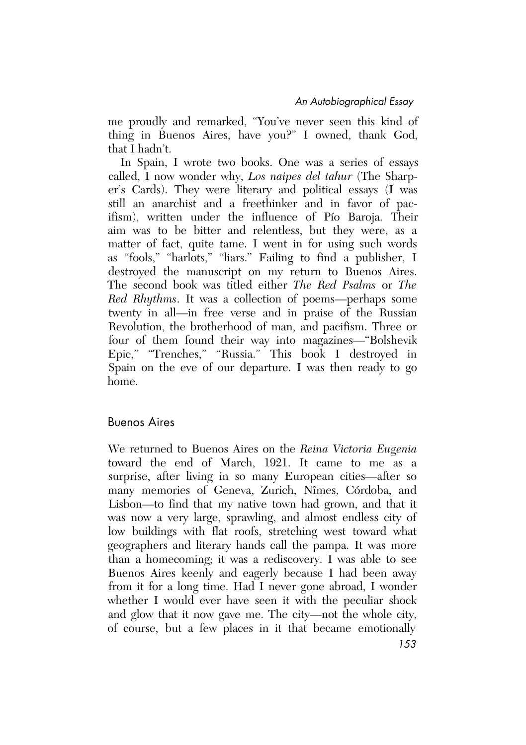me proudly and remarked, "You've never seen this kind of thing in Buenos Aires, have you?" I owned, thank God, that I hadn't.

In Spain, I wrote two books. One was a series of essays called, I now wonder why, *Los naipes del tahur* (The Sharper's Cards). They were literary and political essays (I was still an anarchist and a freethinker and in favor of pacifism), written under the influence of Pío Baroja. Their aim was to be bitter and relentless, but they were, as a matter of fact, quite tame. I went in for using such words as "fools," "harlots," "liars." Failing to find a publisher, I destroyed the manuscript on my return to Buenos Aires. The second book was titled either *The Red Psalms* or *The Red Rhythms*. It was a collection of poems—perhaps some twenty in all—in free verse and in praise of the Russian Revolution, the brotherhood of man, and pacifism. Three or four of them found their way into magazines—"Bolshevik Epic," "Trenches," "Russia." This book I destroyed in Spain on the eve of our departure. I was then ready to go home.

# Buenos Aires

We returned to Buenos Aires on the *Reina Victoria Eugenia* toward the end of March, 1921. It came to me as a surprise, after living in so many European cities—after so many memories of Geneva, Zurich, Nîmes, Córdoba, and Lisbon—to find that my native town had grown, and that it was now a very large, sprawling, and almost endless city of low buildings with flat roofs, stretching west toward what geographers and literary hands call the pampa. It was more than a homecoming; it was a rediscovery. I was able to see Buenos Aires keenly and eagerly because I had been away from it for a long time. Had I never gone abroad, I wonder whether I would ever have seen it with the peculiar shock and glow that it now gave me. The city—not the whole city, of course, but a few places in it that became emotionally *153*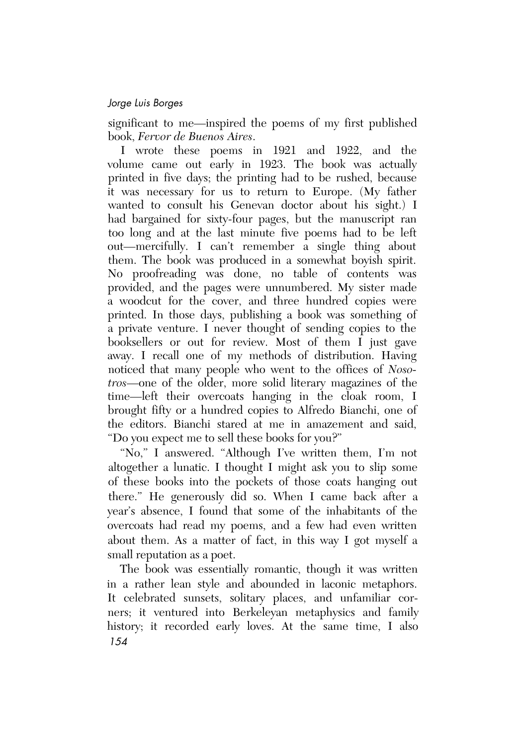significant to me—inspired the poems of my first published book, *Fervor de Buenos Aires*.

I wrote these poems in 1921 and 1922, and the volume came out early in 1923. The book was actually printed in five days; the printing had to be rushed, because it was necessary for us to return to Europe. (My father wanted to consult his Genevan doctor about his sight.) I had bargained for sixty-four pages, but the manuscript ran too long and at the last minute five poems had to be left out—mercifully. I can't remember a single thing about them. The book was produced in a somewhat boyish spirit. No proofreading was done, no table of contents was provided, and the pages were unnumbered. My sister made a woodcut for the cover, and three hundred copies were printed. In those days, publishing a book was something of a private venture. I never thought of sending copies to the booksellers or out for review. Most of them I just gave away. I recall one of my methods of distribution. Having noticed that many people who went to the offices of *Nosotros*—one of the older, more solid literary magazines of the time—left their overcoats hanging in the cloak room, I brought fifty or a hundred copies to Alfredo Bianchi, one of the editors. Bianchi stared at me in amazement and said, "Do you expect me to sell these books for you?"

"No," I answered. "Although I've written them, I'm not altogether a lunatic. I thought I might ask you to slip some of these books into the pockets of those coats hanging out there." He generously did so. When I came back after a year's absence, I found that some of the inhabitants of the overcoats had read my poems, and a few had even written about them. As a matter of fact, in this way I got myself a small reputation as a poet.

The book was essentially romantic, though it was written in a rather lean style and abounded in laconic metaphors. It celebrated sunsets, solitary places, and unfamiliar corners; it ventured into Berkeleyan metaphysics and family history; it recorded early loves. At the same time, I also *154*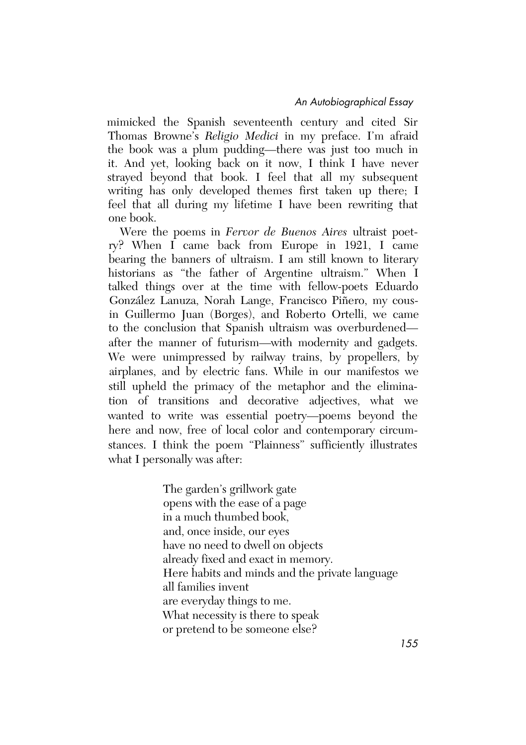mimicked the Spanish seventeenth century and cited Sir Thomas Browne's *Religio Medici* in my preface. I'm afraid the book was a plum pudding—there was just too much in it. And yet, looking back on it now, I think I have never strayed beyond that book. I feel that all my subsequent writing has only developed themes first taken up there; I feel that all during my lifetime I have been rewriting that one book.

Were the poems in *Fervor de Buenos Aires* ultraist poetry? When I came back from Europe in 1921, I came bearing the banners of ultraism. I am still known to literary historians as "the father of Argentine ultraism." When I talked things over at the time with fellow-poets Eduardo González Lanuza, Norah Lange, Francisco Piñero, my cousin Guillermo Juan (Borges), and Roberto Ortelli, we came to the conclusion that Spanish ultraism was overburdened after the manner of futurism—with modernity and gadgets. We were unimpressed by railway trains, by propellers, by airplanes, and by electric fans. While in our manifestos we still upheld the primacy of the metaphor and the elimination of transitions and decorative adjectives, what we wanted to write was essential poetry—poems beyond the here and now, free of local color and contemporary circumstances. I think the poem "Plainness" sufficiently illustrates what I personally was after:

> The garden's grillwork gate opens with the ease of a page in a much thumbed book, and, once inside, our eyes have no need to dwell on objects already fixed and exact in memory. Here habits and minds and the private language all families invent are everyday things to me. What necessity is there to speak or pretend to be someone else?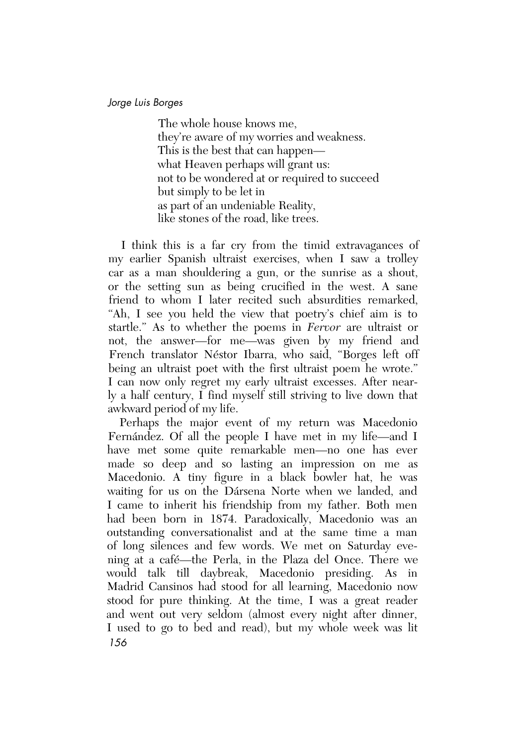The whole house knows me, they're aware of my worries and weakness. This is the best that can happen what Heaven perhaps will grant us: not to be wondered at or required to succeed but simply to be let in as part of an undeniable Reality, like stones of the road, like trees.

I think this is a far cry from the timid extravagances of my earlier Spanish ultraist exercises, when I saw a trolley car as a man shouldering a gun, or the sunrise as a shout, or the setting sun as being crucified in the west. A sane friend to whom I later recited such absurdities remarked, "Ah, I see you held the view that poetry's chief aim is to startle." As to whether the poems in *Fervor* are ultraist or not, the answer—for me—was given by my friend and French translator Néstor Ibarra, who said, "Borges left off being an ultraist poet with the first ultraist poem he wrote." I can now only regret my early ultraist excesses. After nearly a half century, I find myself still striving to live down that awkward period of my life.

Perhaps the major event of my return was Macedonio Fernández. Of all the people I have met in my life—and I have met some quite remarkable men—no one has ever made so deep and so lasting an impression on me as Macedonio. A tiny figure in a black bowler hat, he was waiting for us on the Dársena Norte when we landed, and I came to inherit his friendship from my father. Both men had been born in 1874. Paradoxically, Macedonio was an outstanding conversationalist and at the same time a man of long silences and few words. We met on Saturday evening at a café—the Perla, in the Plaza del Once. There we would talk till daybreak, Macedonio presiding. As in Madrid Cansinos had stood for all learning, Macedonio now stood for pure thinking. At the time, I was a great reader and went out very seldom (almost every night after dinner, I used to go to bed and read), but my whole week was lit *156*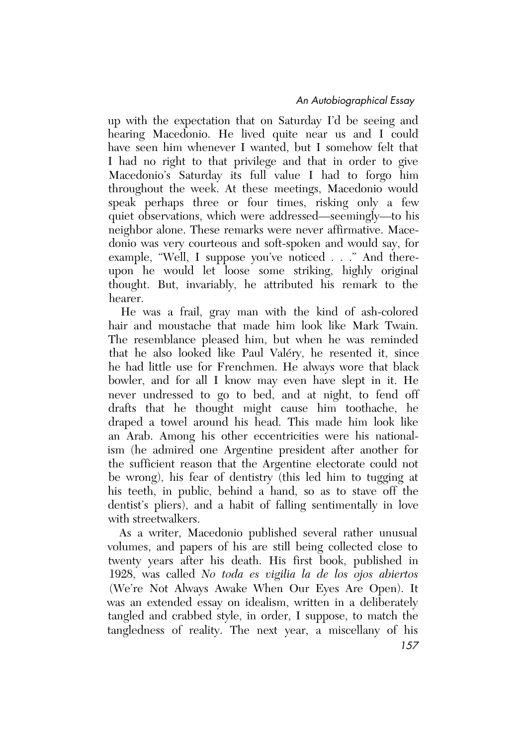up with the expectation that on Saturday I'd be seeing and hearing Macedonio. He lived quite near us and I could have seen him whenever I wanted, but I somehow felt that I had no right to that privilege and that in order to give Macedonio's Saturday its full value I had to forgo him throughout the week. At these meetings, Macedonio would speak perhaps three or four times, risking only a few quiet observations, which were addressed—seemingly—to his neighbor alone. These remarks were never affirmative. Macedonio was very courteous and soft-spoken and would say, for example, "Well, I suppose you've noticed . . ." And thereupon he would let loose some striking, highly original thought. But, invariably, he attributed his remark to the hearer.

He was a frail, gray man with the kind of ash-colored hair and moustache that made him look like Mark Twain. The resemblance pleased him, but when he was reminded that he also looked like Paul Valéry, he resented it, since he had little use for Frenchmen. He always wore that black bowler, and for all I know may even have slept in it. He never undressed to go to bed, and at night, to fend off drafts that he thought might cause him toothache, he draped a towel around his head. This made him look like an Arab. Among his other eccentricities were his nationalism (he admired one Argentine president after another for the sufficient reason that the Argentine electorate could not be wrong), his fear of dentistry (this led him to tugging at his teeth, in public, behind a hand, so as to stave off the dentist's pliers), and a habit of falling sentimentally in love with streetwalkers.

As a writer, Macedonio published several rather unusual volumes, and papers of his are still being collected close to twenty years after his death. His first book, published in 1928, was called *No toda es vigilia la de los ojos abiertos* (We're Not Always Awake When Our Eyes Are Open). It was an extended essay on idealism, written in a deliberately tangled and crabbed style, in order, I suppose, to match the tangledness of reality. The next year, a miscellany of his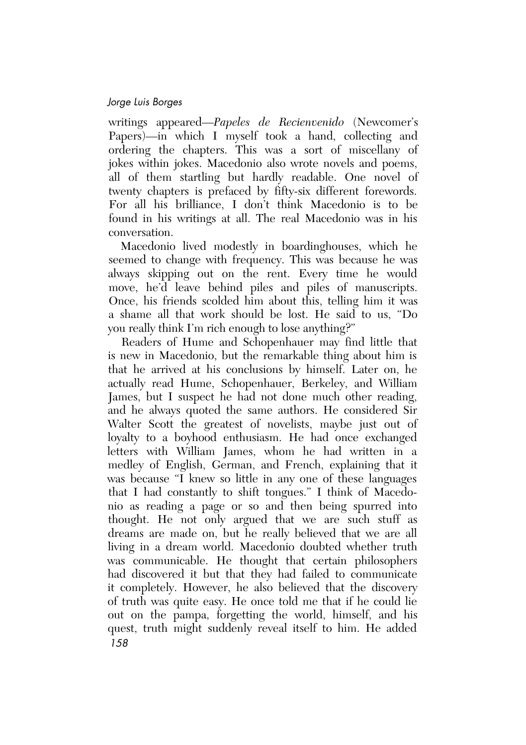writings appeared—*Papeles de Recienvenido* (Newcomer's Papers)—in which I myself took a hand, collecting and ordering the chapters. This was a sort of miscellany of jokes within jokes. Macedonio also wrote novels and poems, all of them startling but hardly readable. One novel of twenty chapters is prefaced by fifty-six different forewords. For all his brilliance, I don't think Macedonio is to be found in his writings at all. The real Macedonio was in his conversation.

Macedonio lived modestly in boardinghouses, which he seemed to change with frequency. This was because he was always skipping out on the rent. Every time he would move, he'd leave behind piles and piles of manuscripts. Once, his friends scolded him about this, telling him it was a shame all that work should be lost. He said to us, "Do you really think I'm rich enough to lose anything?"

Readers of Hume and Schopenhauer may find little that is new in Macedonio, but the remarkable thing about him is that he arrived at his conclusions by himself. Later on, he actually read Hume, Schopenhauer, Berkeley, and William James, but I suspect he had not done much other reading, and he always quoted the same authors. He considered Sir Walter Scott the greatest of novelists, maybe just out of loyalty to a boyhood enthusiasm. He had once exchanged letters with William James, whom he had written in a medley of English, German, and French, explaining that it was because "I knew so little in any one of these languages that I had constantly to shift tongues." I think of Macedonio as reading a page or so and then being spurred into thought. He not only argued that we are such stuff as dreams are made on, but he really believed that we are all living in a dream world. Macedonio doubted whether truth was communicable. He thought that certain philosophers had discovered it but that they had failed to communicate it completely. However, he also believed that the discovery of truth was quite easy. He once told me that if he could lie out on the pampa, forgetting the world, himself, and his quest, truth might suddenly reveal itself to him. He added *158*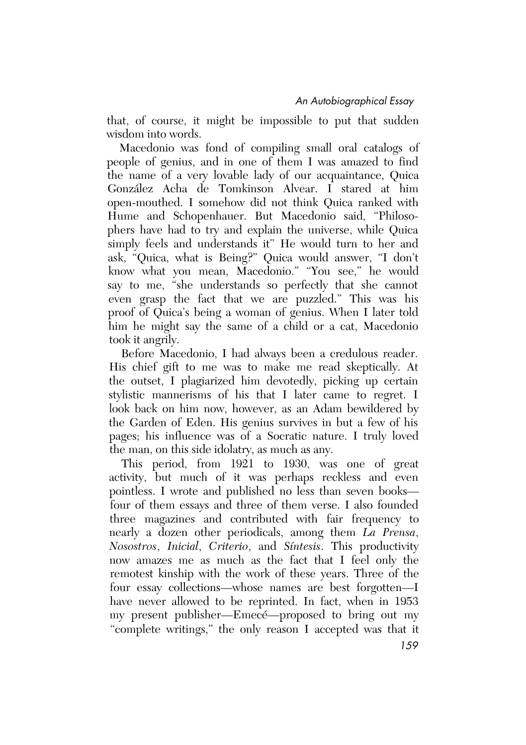that, of course, it might be impossible to put that sudden wisdom into words.

Macedonio was fond of compiling small oral catalogs of people of genius, and in one of them I was amazed to find the name of a very lovable lady of our acquaintance, Quica González Acha de Tomkinson Alvear. I stared at him open-mouthed. I somehow did not think Quica ranked with Hume and Schopenhauer. But Macedonio said, "Philosophers have had to try and explain the universe, while Quica simply feels and understands it" He would turn to her and ask, "Quica, what is Being?" Quica would answer, "I don't know what you mean, Macedonio." "You see," he would say to me, "she understands so perfectly that she cannot even grasp the fact that we are puzzled." This was his proof of Quica's being a woman of genius. When I later told him he might say the same of a child or a cat, Macedonio took it angrily.

Before Macedonio, I had always been a credulous reader. His chief gift to me was to make me read skeptically. At the outset, I plagiarized him devotedly, picking up certain stylistic mannerisms of his that I later came to regret. I look back on him now, however, as an Adam bewildered by the Garden of Eden. His genius survives in but a few of his pages; his influence was of a Socratic nature. I truly loved the man, on this side idolatry, as much as any.

This period, from 1921 to 1930, was one of great activity, but much of it was perhaps reckless and even pointless. I wrote and published no less than seven books four of them essays and three of them verse. I also founded three magazines and contributed with fair frequency to nearly a dozen other periodicals, among them *La Prensa*, *Nosostros*, *Inicial*, *Criterio*, and *Síntesis*. This productivity now amazes me as much as the fact that I feel only the remotest kinship with the work of these years. Three of the four essay collections—whose names are best forgotten—I have never allowed to be reprinted. In fact, when in 1953 my present publisher—Emecé—proposed to bring out my "complete writings," the only reason I accepted was that it *159*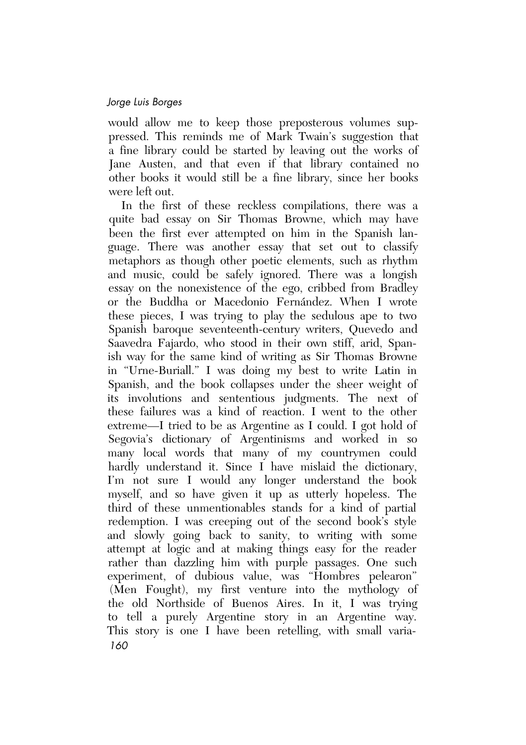would allow me to keep those preposterous volumes suppressed. This reminds me of Mark Twain's suggestion that a fine library could be started by leaving out the works of Jane Austen, and that even if that library contained no other books it would still be a fine library, since her books were left out.

In the first of these reckless compilations, there was a quite bad essay on Sir Thomas Browne, which may have been the first ever attempted on him in the Spanish language. There was another essay that set out to classify metaphors as though other poetic elements, such as rhythm and music, could be safely ignored. There was a longish essay on the nonexistence of the ego, cribbed from Bradley or the Buddha or Macedonio Fernández. When I wrote these pieces, I was trying to play the sedulous ape to two Spanish baroque seventeenth-century writers, Quevedo and Saavedra Fajardo, who stood in their own stiff, arid, Spanish way for the same kind of writing as Sir Thomas Browne in "Urne-Buriall." I was doing my best to write Latin in Spanish, and the book collapses under the sheer weight of its involutions and sententious judgments. The next of these failures was a kind of reaction. I went to the other extreme—I tried to be as Argentine as I could. I got hold of Segovia's dictionary of Argentinisms and worked in so many local words that many of my countrymen could hardly understand it. Since I have mislaid the dictionary, I'm not sure I would any longer understand the book myself, and so have given it up as utterly hopeless. The third of these unmentionables stands for a kind of partial redemption. I was creeping out of the second book's style and slowly going back to sanity, to writing with some attempt at logic and at making things easy for the reader rather than dazzling him with purple passages. One such experiment, of dubious value, was "Hombres pelearon" (Men Fought), my first venture into the mythology of the old Northside of Buenos Aires. In it, I was trying to tell a purely Argentine story in an Argentine way. This story is one I have been retelling, with small varia-*160*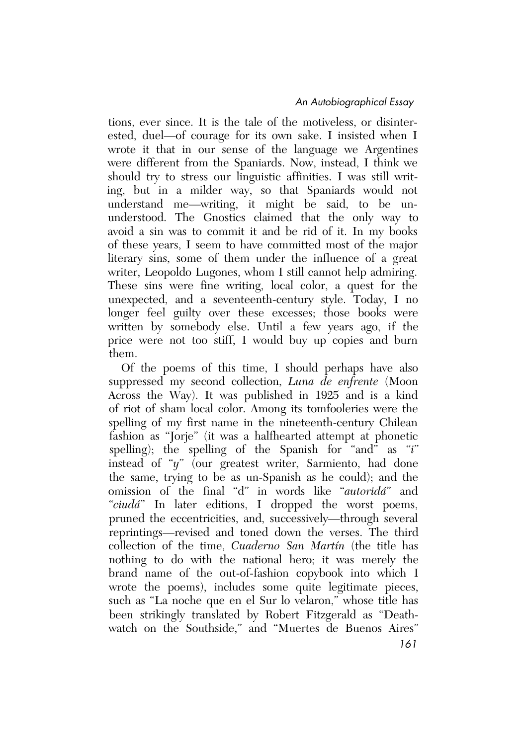tions, ever since. It is the tale of the motiveless, or disinterested, duel—of courage for its own sake. I insisted when I wrote it that in our sense of the language we Argentines were different from the Spaniards. Now, instead, I think we should try to stress our linguistic affinities. I was still writing, but in a milder way, so that Spaniards would not understand me—writing, it might be said, to be ununderstood. The Gnostics claimed that the only way to avoid a sin was to commit it and be rid of it. In my books of these years, I seem to have committed most of the major literary sins, some of them under the influence of a great writer, Leopoldo Lugones, whom I still cannot help admiring. These sins were fine writing, local color, a quest for the unexpected, and a seventeenth-century style. Today, I no longer feel guilty over these excesses; those books were written by somebody else. Until a few years ago, if the price were not too stiff, I would buy up copies and burn them.

Of the poems of this time, I should perhaps have also suppressed my second collection, *Luna de enfrente* (Moon Across the Way). It was published in 1925 and is a kind of riot of sham local color. Among its tomfooleries were the spelling of my first name in the nineteenth-century Chilean fashion as "Jorje" (it was a halfhearted attempt at phonetic spelling); the spelling of the Spanish for "and" as "*i*" instead of "*y*" (our greatest writer, Sarmiento, had done the same, trying to be as un-Spanish as he could); and the omission of the final "d" in words like "*autoridá*" and "*ciudá*" In later editions, I dropped the worst poems, pruned the eccentricities, and, successively—through several reprintings—revised and toned down the verses. The third collection of the time, *Cuaderno San Martín* (the title has nothing to do with the national hero; it was merely the brand name of the out-of-fashion copybook into which I wrote the poems), includes some quite legitimate pieces, such as "La noche que en el Sur lo velaron," whose title has been strikingly translated by Robert Fitzgerald as "Deathwatch on the Southside," and "Muertes de Buenos Aires" *161*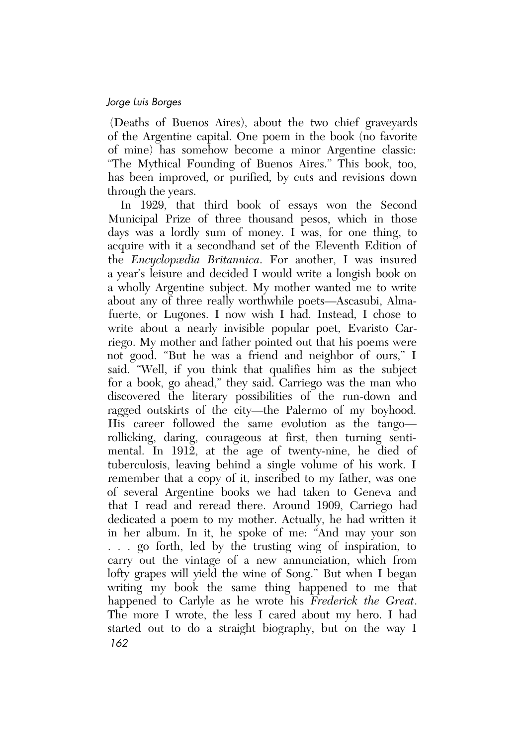(Deaths of Buenos Aires), about the two chief graveyards of the Argentine capital. One poem in the book (no favorite of mine) has somehow become a minor Argentine classic: "The Mythical Founding of Buenos Aires." This book, too, has been improved, or purified, by cuts and revisions down through the years.

In 1929, that third book of essays won the Second Municipal Prize of three thousand pesos, which in those days was a lordly sum of money. I was, for one thing, to acquire with it a secondhand set of the Eleventh Edition of the *Encyclopædia Britannica*. For another, I was insured a year's leisure and decided I would write a longish book on a wholly Argentine subject. My mother wanted me to write about any of three really worthwhile poets—Ascasubi, Almafuerte, or Lugones. I now wish I had. Instead, I chose to write about a nearly invisible popular poet, Evaristo Carriego. My mother and father pointed out that his poems were not good. "But he was a friend and neighbor of ours," I said. "Well, if you think that qualifies him as the subject for a book, go ahead," they said. Carriego was the man who discovered the literary possibilities of the run-down and ragged outskirts of the city—the Palermo of my boyhood. His career followed the same evolution as the tango rollicking, daring, courageous at first, then turning sentimental. In 1912, at the age of twenty-nine, he died of tuberculosis, leaving behind a single volume of his work. I remember that a copy of it, inscribed to my father, was one of several Argentine books we had taken to Geneva and that I read and reread there. Around 1909, Carriego had dedicated a poem to my mother. Actually, he had written it in her album. In it, he spoke of me: "And may your son . . . go forth, led by the trusting wing of inspiration, to carry out the vintage of a new annunciation, which from lofty grapes will yield the wine of Song." But when I began writing my book the same thing happened to me that happened to Carlyle as he wrote his *Frederick the Great*. The more I wrote, the less I cared about my hero. I had started out to do a straight biography, but on the way I *162*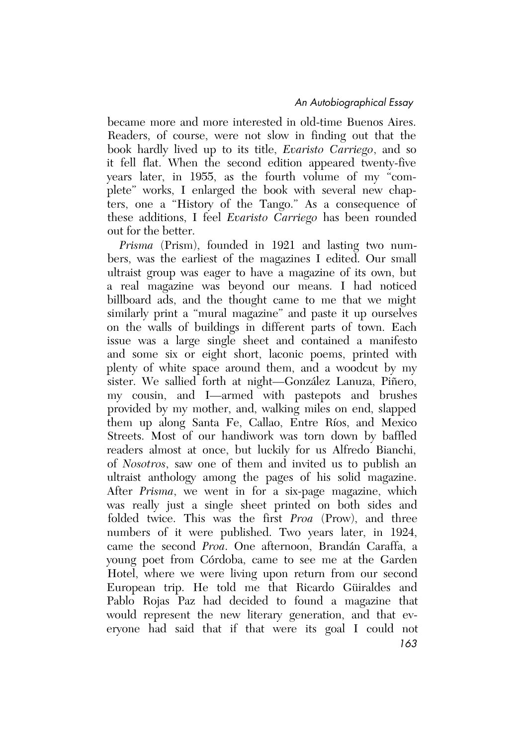became more and more interested in old-time Buenos Aires. Readers, of course, were not slow in finding out that the book hardly lived up to its title, *Evaristo Carriego*, and so it fell flat. When the second edition appeared twenty-five years later, in 1955, as the fourth volume of my "complete" works, I enlarged the book with several new chapters, one a "History of the Tango." As a consequence of these additions, I feel *Evaristo Carriego* has been rounded out for the better.

*Prisma* (Prism), founded in 1921 and lasting two numbers, was the earliest of the magazines I edited. Our small ultraist group was eager to have a magazine of its own, but a real magazine was beyond our means. I had noticed billboard ads, and the thought came to me that we might similarly print a "mural magazine" and paste it up ourselves on the walls of buildings in different parts of town. Each issue was a large single sheet and contained a manifesto and some six or eight short, laconic poems, printed with plenty of white space around them, and a woodcut by my sister. We sallied forth at night—González Lanuza, Piñero, my cousin, and I—armed with pastepots and brushes provided by my mother, and, walking miles on end, slapped them up along Santa Fe, Callao, Entre Ríos, and Mexico Streets. Most of our handiwork was torn down by baffled readers almost at once, but luckily for us Alfredo Bianchi, of *Nosotros*, saw one of them and invited us to publish an ultraist anthology among the pages of his solid magazine. After *Prisma*, we went in for a six-page magazine, which was really just a single sheet printed on both sides and folded twice. This was the first *Proa* (Prow), and three numbers of it were published. Two years later, in 1924, came the second *Proa*. One afternoon, Brandán Caraffa, a young poet from Córdoba, came to see me at the Garden Hotel, where we were living upon return from our second European trip. He told me that Ricardo Güiraldes and Pablo Rojas Paz had decided to found a magazine that would represent the new literary generation, and that everyone had said that if that were its goal I could not *163*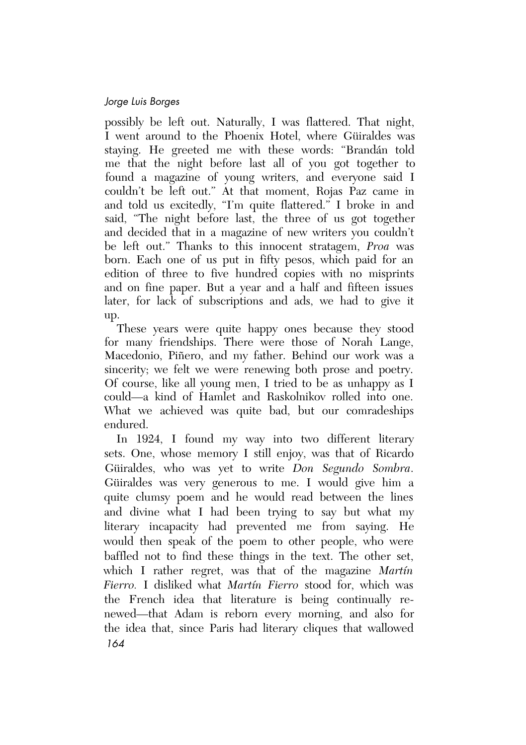possibly be left out. Naturally, I was flattered. That night, I went around to the Phoenix Hotel, where Güiraldes was staying. He greeted me with these words: "Brandán told me that the night before last all of you got together to found a magazine of young writers, and everyone said I couldn't be left out." At that moment, Rojas Paz came in and told us excitedly, "I'm quite flattered." I broke in and said, "The night before last, the three of us got together and decided that in a magazine of new writers you couldn't be left out." Thanks to this innocent stratagem, *Proa* was born. Each one of us put in fifty pesos, which paid for an edition of three to five hundred copies with no misprints and on fine paper. But a year and a half and fifteen issues later, for lack of subscriptions and ads, we had to give it up.

These years were quite happy ones because they stood for many friendships. There were those of Norah Lange, Macedonio, Piñero, and my father. Behind our work was a sincerity; we felt we were renewing both prose and poetry. Of course, like all young men, I tried to be as unhappy as I could—a kind of Hamlet and Raskolnikov rolled into one. What we achieved was quite bad, but our comradeships endured.

In 1924, I found my way into two different literary sets. One, whose memory I still enjoy, was that of Ricardo Güiraldes, who was yet to write *Don Segundo Sombra*. Güiraldes was very generous to me. I would give him a quite clumsy poem and he would read between the lines and divine what I had been trying to say but what my literary incapacity had prevented me from saying. He would then speak of the poem to other people, who were baffled not to find these things in the text. The other set, which I rather regret, was that of the magazine *Martín Fierro.* I disliked what *Martín Fierro* stood for, which was the French idea that literature is being continually renewed—that Adam is reborn every morning, and also for the idea that, since Paris had literary cliques that wallowed *164*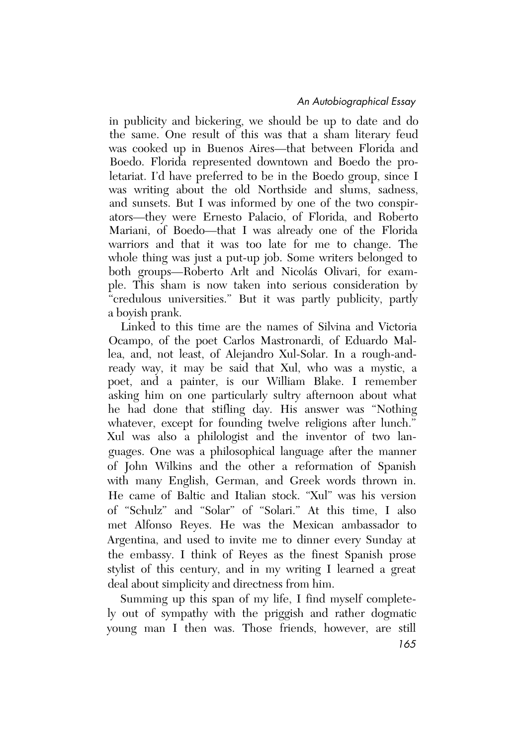in publicity and bickering, we should be up to date and do the same. One result of this was that a sham literary feud was cooked up in Buenos Aires—that between Florida and Boedo. Florida represented downtown and Boedo the proletariat. I'd have preferred to be in the Boedo group, since I was writing about the old Northside and slums, sadness, and sunsets. But I was informed by one of the two conspirators—they were Ernesto Palacio, of Florida, and Roberto Mariani, of Boedo—that I was already one of the Florida warriors and that it was too late for me to change. The whole thing was just a put-up job. Some writers belonged to both groups—Roberto Arlt and Nicolás Olivari, for example. This sham is now taken into serious consideration by "credulous universities." But it was partly publicity, partly a boyish prank.

Linked to this time are the names of Silvina and Victoria Ocampo, of the poet Carlos Mastronardi, of Eduardo Mallea, and, not least, of Alejandro Xul-Solar. In a rough-andready way, it may be said that Xul, who was a mystic, a poet, and a painter, is our William Blake. I remember asking him on one particularly sultry afternoon about what he had done that stifling day. His answer was "Nothing whatever, except for founding twelve religions after lunch." Xul was also a philologist and the inventor of two languages. One was a philosophical language after the manner of John Wilkins and the other a reformation of Spanish with many English, German, and Greek words thrown in. He came of Baltic and Italian stock. "Xul" was his version of "Schulz" and "Solar" of "Solari." At this time, I also met Alfonso Reyes. He was the Mexican ambassador to Argentina, and used to invite me to dinner every Sunday at the embassy. I think of Reyes as the finest Spanish prose stylist of this century, and in my writing I learned a great deal about simplicity and directness from him.

Summing up this span of my life, I find myself completely out of sympathy with the priggish and rather dogmatic young man I then was. Those friends, however, are still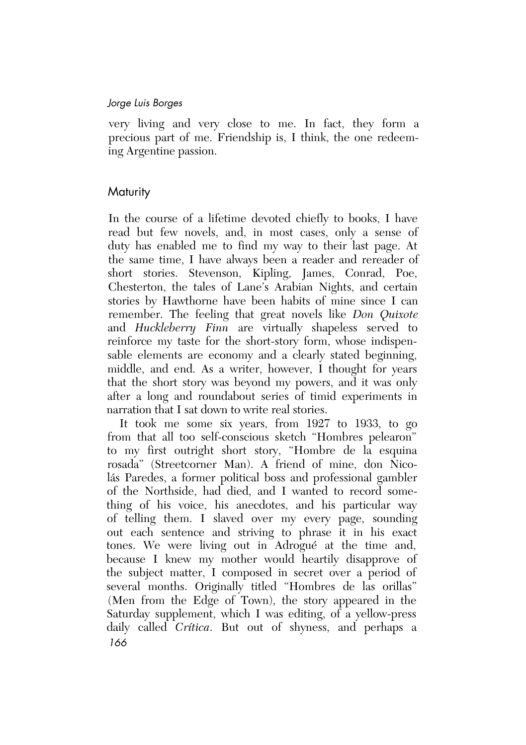very living and very close to me. In fact, they form a precious part of me. Friendship is, I think, the one redeeming Argentine passion.

# **Maturity**

In the course of a lifetime devoted chiefly to books, I have read but few novels, and, in most cases, only a sense of duty has enabled me to find my way to their last page. At the same time, I have always been a reader and rereader of short stories. Stevenson, Kipling, James, Conrad, Poe, Chesterton, the tales of Lane's Arabian Nights, and certain stories by Hawthorne have been habits of mine since I can remember. The feeling that great novels like *Don Quixote* and *Huckleberry Finn* are virtually shapeless served to reinforce my taste for the short-story form, whose indispensable elements are economy and a clearly stated beginning, middle, and end. As a writer, however, I thought for years that the short story was beyond my powers, and it was only after a long and roundabout series of timid experiments in narration that I sat down to write real stories.

It took me some six years, from 1927 to 1933, to go from that all too self-conscious sketch "Hombres pelearon" to my first outright short story, "Hombre de la esquina rosada" (Streetcorner Man). A friend of mine, don Nicolás Paredes, a former political boss and professional gambler of the Northside, had died, and I wanted to record something of his voice, his anecdotes, and his particular way of telling them. I slaved over my every page, sounding out each sentence and striving to phrase it in his exact tones. We were living out in Adrogué at the time and, because I knew my mother would heartily disapprove of the subject matter, I composed in secret over a period of several months. Originally titled "Hombres de las orillas" (Men from the Edge of Town), the story appeared in the Saturday supplement, which I was editing, of a yellow-press daily called *Crítica*. But out of shyness, and perhaps a *166*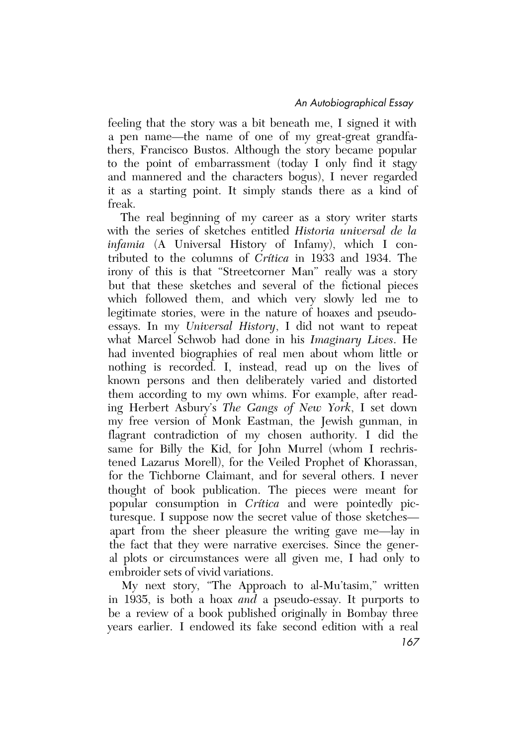feeling that the story was a bit beneath me, I signed it with a pen name—the name of one of my great-great grandfathers, Francisco Bustos. Although the story became popular to the point of embarrassment (today I only find it stagy and mannered and the characters bogus), I never regarded it as a starting point. It simply stands there as a kind of freak.

The real beginning of my career as a story writer starts with the series of sketches entitled *Historia universal de la infamia* (A Universal History of Infamy), which I contributed to the columns of *Crítica* in 1933 and 1934. The irony of this is that "Streetcorner Man" really was a story but that these sketches and several of the fictional pieces which followed them, and which very slowly led me to legitimate stories, were in the nature of hoaxes and pseudoessays. In my *Universal History*, I did not want to repeat what Marcel Schwob had done in his *Imaginary Lives*. He had invented biographies of real men about whom little or nothing is recorded. I, instead, read up on the lives of known persons and then deliberately varied and distorted them according to my own whims. For example, after reading Herbert Asbury's *The Gangs of New York*, I set down my free version of Monk Eastman, the Jewish gunman, in flagrant contradiction of my chosen authority. I did the same for Billy the Kid, for John Murrel (whom I rechristened Lazarus Morell), for the Veiled Prophet of Khorassan, for the Tichborne Claimant, and for several others. I never thought of book publication. The pieces were meant for popular consumption in *Crítica* and were pointedly picturesque. I suppose now the secret value of those sketches apart from the sheer pleasure the writing gave me—lay in the fact that they were narrative exercises. Since the general plots or circumstances were all given me, I had only to embroider sets of vivid variations.

My next story, "The Approach to al-Mu'tasim," written in 1935, is both a hoax *and* a pseudo-essay. It purports to be a review of a book published originally in Bombay three years earlier. I endowed its fake second edition with a real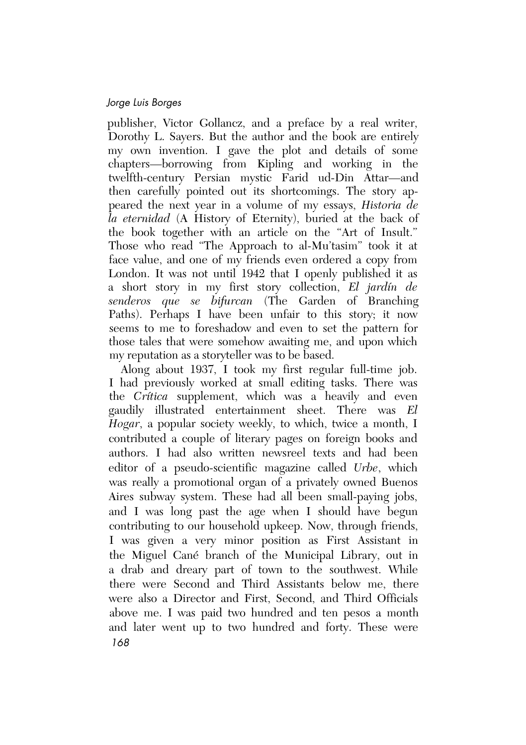publisher, Victor Gollancz, and a preface by a real writer, Dorothy L. Sayers. But the author and the book are entirely my own invention. I gave the plot and details of some chapters—borrowing from Kipling and working in the twelfth-century Persian mystic Farid ud-Din Attar—and then carefully pointed out its shortcomings. The story appeared the next year in a volume of my essays, *Historia de la eternidad* (A History of Eternity), buried at the back of the book together with an article on the "Art of Insult." Those who read "The Approach to al-Mu'tasim" took it at face value, and one of my friends even ordered a copy from London. It was not until 1942 that I openly published it as a short story in my first story collection, *El jardín de senderos que se bifurcan* (The Garden of Branching Paths). Perhaps I have been unfair to this story; it now seems to me to foreshadow and even to set the pattern for those tales that were somehow awaiting me, and upon which my reputation as a storyteller was to be based.

Along about 1937, I took my first regular full-time job. I had previously worked at small editing tasks. There was the *Crítica* supplement, which was a heavily and even gaudily illustrated entertainment sheet. There was *El Hogar*, a popular society weekly, to which, twice a month, I contributed a couple of literary pages on foreign books and authors. I had also written newsreel texts and had been editor of a pseudo-scientific magazine called *Urbe*, which was really a promotional organ of a privately owned Buenos Aires subway system. These had all been small-paying jobs, and I was long past the age when I should have begun contributing to our household upkeep. Now, through friends, I was given a very minor position as First Assistant in the Miguel Cané branch of the Municipal Library, out in a drab and dreary part of town to the southwest. While there were Second and Third Assistants below me, there were also a Director and First, Second, and Third Officials above me. I was paid two hundred and ten pesos a month and later went up to two hundred and forty. These were *168*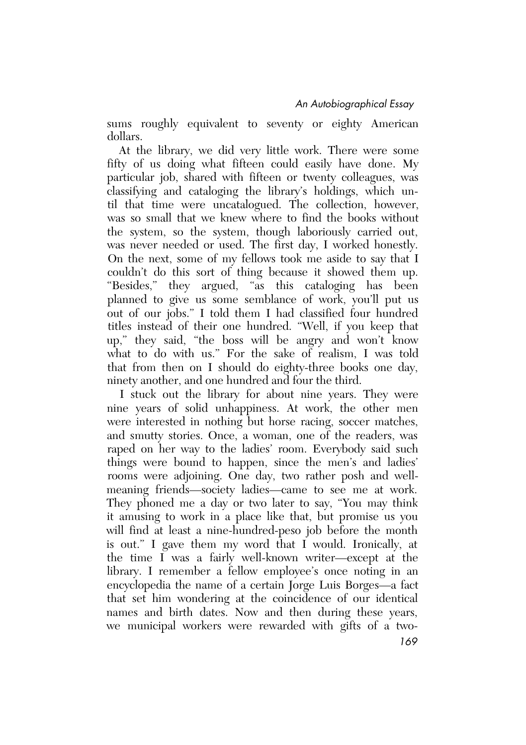sums roughly equivalent to seventy or eighty American dollars.

At the library, we did very little work. There were some fifty of us doing what fifteen could easily have done. My particular job, shared with fifteen or twenty colleagues, was classifying and cataloging the library's holdings, which until that time were uncatalogued. The collection, however, was so small that we knew where to find the books without the system, so the system, though laboriously carried out, was never needed or used. The first day, I worked honestly. On the next, some of my fellows took me aside to say that I couldn't do this sort of thing because it showed them up. "Besides," they argued, "as this cataloging has been planned to give us some semblance of work, you'll put us out of our jobs." I told them I had classified four hundred titles instead of their one hundred. "Well, if you keep that up," they said, "the boss will be angry and won't know what to do with us." For the sake of realism, I was told that from then on I should do eighty-three books one day, ninety another, and one hundred and four the third.

I stuck out the library for about nine years. They were nine years of solid unhappiness. At work, the other men were interested in nothing but horse racing, soccer matches, and smutty stories. Once, a woman, one of the readers, was raped on her way to the ladies' room. Everybody said such things were bound to happen, since the men's and ladies' rooms were adjoining. One day, two rather posh and wellmeaning friends—society ladies—came to see me at work. They phoned me a day or two later to say, "You may think it amusing to work in a place like that, but promise us you will find at least a nine-hundred-peso job before the month is out." I gave them my word that I would. Ironically, at the time I was a fairly well-known writer—except at the library. I remember a fellow employee's once noting in an encyclopedia the name of a certain Jorge Luis Borges—a fact that set him wondering at the coincidence of our identical names and birth dates. Now and then during these years, we municipal workers were rewarded with gifts of a two-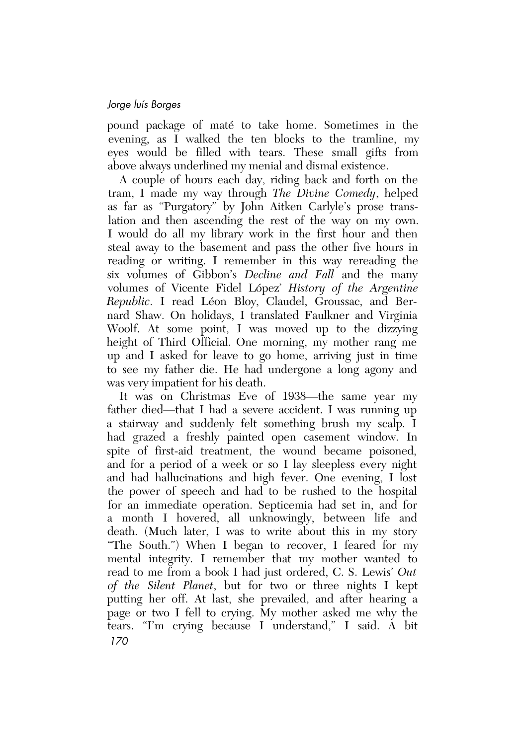#### *Jorge luís Borges*

pound package of maté to take home. Sometimes in the evening, as I walked the ten blocks to the tramline, my eyes would be filled with tears. These small gifts from above always underlined my menial and dismal existence.

A couple of hours each day, riding back and forth on the tram, I made my way through *The Divine Comedy*, helped as far as "Purgatory" by John Aitken Carlyle's prose translation and then ascending the rest of the way on my own. I would do all my library work in the first hour and then steal away to the basement and pass the other five hours in reading or writing. I remember in this way rereading the six volumes of Gibbon's *Decline and Fall* and the many volumes of Vicente Fidel López' *History of the Argentine Republic*. I read Léon Bloy, Claudel, Groussac, and Bernard Shaw. On holidays, I translated Faulkner and Virginia Woolf. At some point, I was moved up to the dizzying height of Third Official. One morning, my mother rang me up and I asked for leave to go home, arriving just in time to see my father die. He had undergone a long agony and was very impatient for his death.

It was on Christmas Eve of 1938—the same year my father died—that I had a severe accident. I was running up a stairway and suddenly felt something brush my scalp. I had grazed a freshly painted open casement window. In spite of first-aid treatment, the wound became poisoned, and for a period of a week or so I lay sleepless every night and had hallucinations and high fever. One evening, I lost the power of speech and had to be rushed to the hospital for an immediate operation. Septicemia had set in, and for a month I hovered, all unknowingly, between life and death. (Much later, I was to write about this in my story "The South.") When I began to recover, I feared for my mental integrity. I remember that my mother wanted to read to me from a book I had just ordered, C. S. Lewis' *Out of the Silent Planet*, but for two or three nights I kept putting her off. At last, she prevailed, and after hearing a page or two I fell to crying. My mother asked me why the tears. "I'm crying because I understand," I said. A bit *170*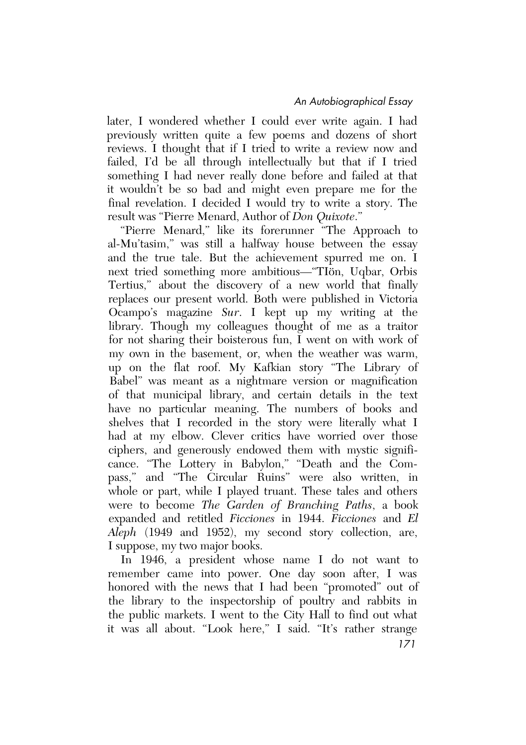later, I wondered whether I could ever write again. I had previously written quite a few poems and dozens of short reviews. I thought that if I tried to write a review now and failed, I'd be all through intellectually but that if I tried something I had never really done before and failed at that it wouldn't be so bad and might even prepare me for the final revelation. I decided I would try to write a story. The result was "Pierre Menard, Author of *Don Quixote*."

"Pierre Menard," like its forerunner "The Approach to al-Mu'tasim," was still a halfway house between the essay and the true tale. But the achievement spurred me on. I next tried something more ambitious—"TIön, Uqbar, Orbis Tertius," about the discovery of a new world that finally replaces our present world. Both were published in Victoria Ocampo's magazine *Sur*. I kept up my writing at the library. Though my colleagues thought of me as a traitor for not sharing their boisterous fun, I went on with work of my own in the basement, or, when the weather was warm, up on the flat roof. My Kafkian story "The Library of Babel" was meant as a nightmare version or magnification of that municipal library, and certain details in the text have no particular meaning. The numbers of books and shelves that I recorded in the story were literally what I had at my elbow. Clever critics have worried over those ciphers, and generously endowed them with mystic significance. "The Lottery in Babylon," "Death and the Compass," and "The Circular Ruins" were also written, in whole or part, while I played truant. These tales and others were to become *The Garden of Branching Paths*, a book expanded and retitled *Ficciones* in 1944. *Ficciones* and *El Aleph* (1949 and 1952), my second story collection, are, I suppose, my two major books.

In 1946, a president whose name I do not want to remember came into power. One day soon after, I was honored with the news that I had been "promoted" out of the library to the inspectorship of poultry and rabbits in the public markets. I went to the City Hall to find out what it was all about. "Look here," I said. "It's rather strange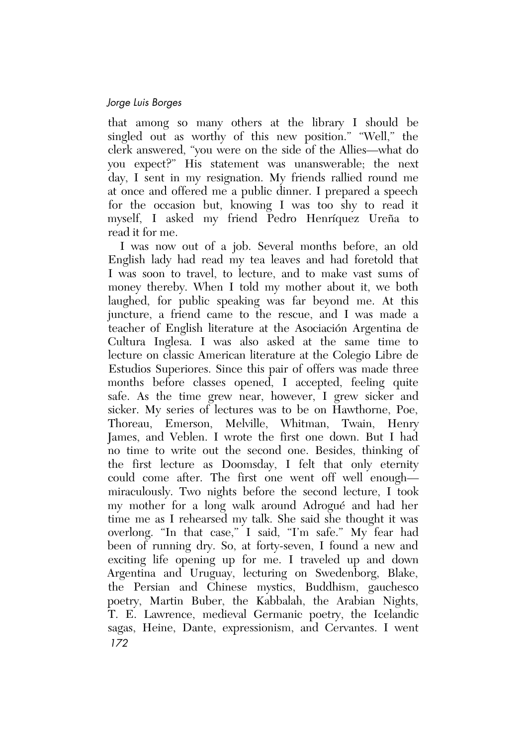that among so many others at the library I should be singled out as worthy of this new position." "Well," the clerk answered, "you were on the side of the Allies—what do you expect?" His statement was unanswerable; the next day, I sent in my resignation. My friends rallied round me at once and offered me a public dinner. I prepared a speech for the occasion but, knowing I was too shy to read it myself, I asked my friend Pedro Henríquez Ureña to read it for me.

I was now out of a job. Several months before, an old English lady had read my tea leaves and had foretold that I was soon to travel, to lecture, and to make vast sums of money thereby. When I told my mother about it, we both laughed, for public speaking was far beyond me. At this juncture, a friend came to the rescue, and I was made a teacher of English literature at the Asociación Argentina de Cultura Inglesa. I was also asked at the same time to lecture on classic American literature at the Colegio Libre de Estudios Superiores. Since this pair of offers was made three months before classes opened, I accepted, feeling quite safe. As the time grew near, however, I grew sicker and sicker. My series of lectures was to be on Hawthorne, Poe, Thoreau, Emerson, Melville, Whitman, Twain, Henry James, and Veblen. I wrote the first one down. But I had no time to write out the second one. Besides, thinking of the first lecture as Doomsday, I felt that only eternity could come after. The first one went off well enough miraculously. Two nights before the second lecture, I took my mother for a long walk around Adrogué and had her time me as I rehearsed my talk. She said she thought it was overlong. "In that case," I said, "I'm safe." My fear had been of running dry. So, at forty-seven, I found a new and exciting life opening up for me. I traveled up and down Argentina and Uruguay, lecturing on Swedenborg, Blake, the Persian and Chinese mystics, Buddhism, gauchesco poetry, Martin Buber, the Kabbalah, the Arabian Nights, T. E. Lawrence, medieval Germanic poetry, the Icelandic sagas, Heine, Dante, expressionism, and Cervantes. I went *172*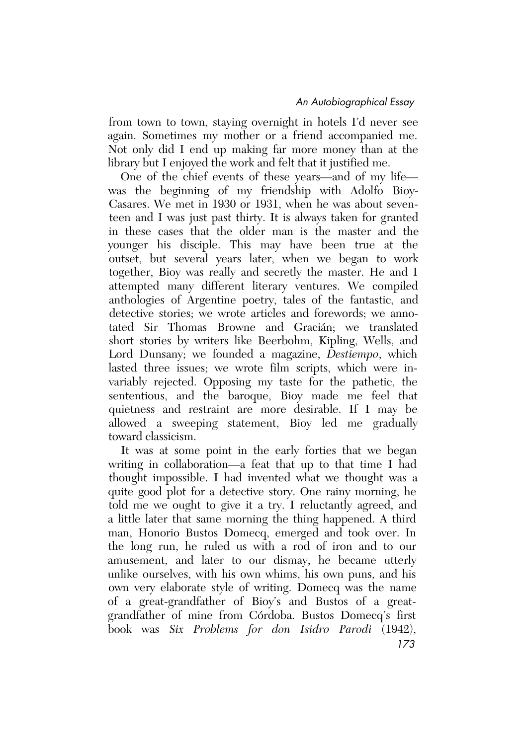from town to town, staying overnight in hotels I'd never see again. Sometimes my mother or a friend accompanied me. Not only did I end up making far more money than at the library but I enjoyed the work and felt that it justified me.

One of the chief events of these years—and of my life was the beginning of my friendship with Adolfo Bioy-Casares. We met in 1930 or 1931, when he was about seventeen and I was just past thirty. It is always taken for granted in these cases that the older man is the master and the younger his disciple. This may have been true at the outset, but several years later, when we began to work together, Bioy was really and secretly the master. He and I attempted many different literary ventures. We compiled anthologies of Argentine poetry, tales of the fantastic, and detective stories; we wrote articles and forewords; we annotated Sir Thomas Browne and Gracián; we translated short stories by writers like Beerbohm, Kipling, Wells, and Lord Dunsany; we founded a magazine, *Destiempo*, which lasted three issues; we wrote film scripts, which were invariably rejected. Opposing my taste for the pathetic, the sententious, and the baroque, Bioy made me feel that quietness and restraint are more desirable. If I may be allowed a sweeping statement, Bioy led me gradually toward classicism.

It was at some point in the early forties that we began writing in collaboration—a feat that up to that time I had thought impossible. I had invented what we thought was a quite good plot for a detective story. One rainy morning, he told me we ought to give it a try. I reluctantly agreed, and a little later that same morning the thing happened. A third man, Honorio Bustos Domecq, emerged and took over. In the long run, he ruled us with a rod of iron and to our amusement, and later to our dismay, he became utterly unlike ourselves, with his own whims, his own puns, and his own very elaborate style of writing. Domecq was the name of a great-grandfather of Bioy's and Bustos of a greatgrandfather of mine from Córdoba. Bustos Domecq's first book was *Six Problems for don Isidro Parodi* (1942),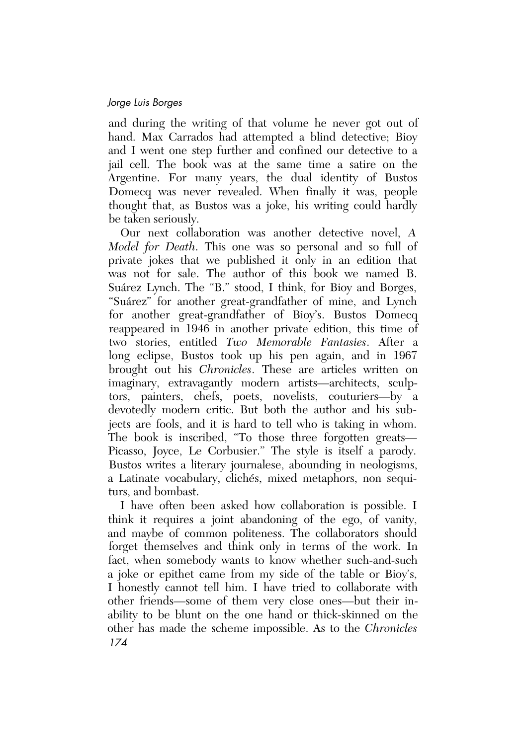and during the writing of that volume he never got out of hand. Max Carrados had attempted a blind detective; Bioy and I went one step further and confined our detective to a jail cell. The book was at the same time a satire on the Argentine. For many years, the dual identity of Bustos Domecq was never revealed. When finally it was, people thought that, as Bustos was a joke, his writing could hardly be taken seriously.

Our next collaboration was another detective novel, *A Model for Death*. This one was so personal and so full of private jokes that we published it only in an edition that was not for sale. The author of this book we named B. Suárez Lynch. The "B." stood, I think, for Bioy and Borges, "Suárez" for another great-grandfather of mine, and Lynch for another great-grandfather of Bioy's. Bustos Domecq reappeared in 1946 in another private edition, this time of two stories, entitled *Two Memorable Fantasies*. After a long eclipse, Bustos took up his pen again, and in 1967 brought out his *Chronicles*. These are articles written on imaginary, extravagantly modern artists—architects, sculptors, painters, chefs, poets, novelists, couturiers—by a devotedly modern critic. But both the author and his subjects are fools, and it is hard to tell who is taking in whom. The book is inscribed, "To those three forgotten greats— Picasso, Joyce, Le Corbusier." The style is itself a parody. Bustos writes a literary journalese, abounding in neologisms, a Latinate vocabulary, clichés, mixed metaphors, non sequiturs, and bombast.

I have often been asked how collaboration is possible. I think it requires a joint abandoning of the ego, of vanity, and maybe of common politeness. The collaborators should forget themselves and think only in terms of the work. In fact, when somebody wants to know whether such-and-such a joke or epithet came from my side of the table or Bioy's, I honestly cannot tell him. I have tried to collaborate with other friends—some of them very close ones—but their inability to be blunt on the one hand or thick-skinned on the other has made the scheme impossible. As to the *Chronicles 174*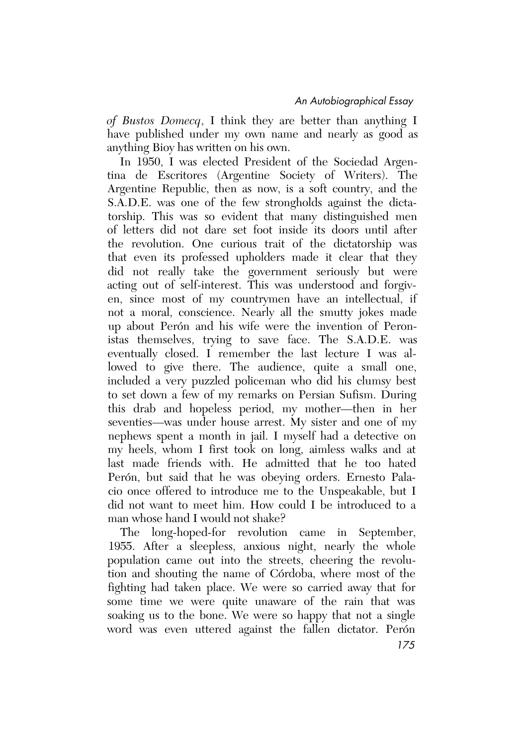*of Bustos Domecq*, I think they are better than anything I have published under my own name and nearly as good as anything Bioy has written on his own.

In 1950, I was elected President of the Sociedad Argentina de Escritores (Argentine Society of Writers). The Argentine Republic, then as now, is a soft country, and the S.A.D.E. was one of the few strongholds against the dictatorship. This was so evident that many distinguished men of letters did not dare set foot inside its doors until after the revolution. One curious trait of the dictatorship was that even its professed upholders made it clear that they did not really take the government seriously but were acting out of self-interest. This was understood and forgiven, since most of my countrymen have an intellectual, if not a moral, conscience. Nearly all the smutty jokes made up about Perón and his wife were the invention of Peronistas themselves, trying to save face. The S.A.D.E. was eventually closed. I remember the last lecture I was allowed to give there. The audience, quite a small one, included a very puzzled policeman who did his clumsy best to set down a few of my remarks on Persian Sufism. During this drab and hopeless period, my mother—then in her seventies—was under house arrest. My sister and one of my nephews spent a month in jail. I myself had a detective on my heels, whom I first took on long, aimless walks and at last made friends with. He admitted that he too hated Perón, but said that he was obeying orders. Ernesto Palacio once offered to introduce me to the Unspeakable, but I did not want to meet him. How could I be introduced to a man whose hand I would not shake?

The long-hoped-for revolution came in September, 1955. After a sleepless, anxious night, nearly the whole population came out into the streets, cheering the revolution and shouting the name of Córdoba, where most of the fighting had taken place. We were so carried away that for some time we were quite unaware of the rain that was soaking us to the bone. We were so happy that not a single word was even uttered against the fallen dictator. Perón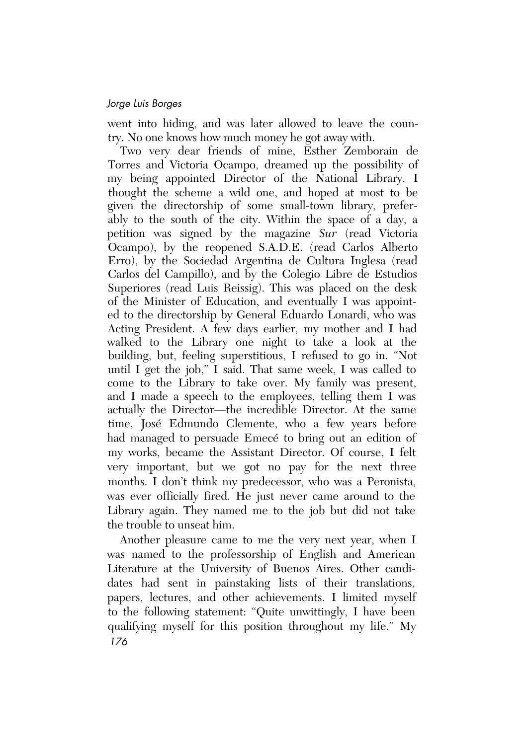went into hiding, and was later allowed to leave the country. No one knows how much money he got away with.

Two very dear friends of mine, Esther Zemborain de Torres and Victoria Ocampo, dreamed up the possibility of my being appointed Director of the National Library. I thought the scheme a wild one, and hoped at most to be given the directorship of some small-town library, preferably to the south of the city. Within the space of a day, a petition was signed by the magazine *Sur* (read Victoria Ocampo), by the reopened S.A.D.E. (read Carlos Alberto Erro), by the Sociedad Argentina de Cultura Inglesa (read Carlos del Campillo), and by the Colegio Libre de Estudios Superiores (read Luis Reissig). This was placed on the desk of the Minister of Education, and eventually I was appointed to the directorship by General Eduardo Lonardi, who was Acting President. A few days earlier, my mother and I had walked to the Library one night to take a look at the building, but, feeling superstitious, I refused to go in. "Not until I get the job," I said. That same week, I was called to come to the Library to take over. My family was present, and I made a speech to the employees, telling them I was actually the Director—the incredible Director. At the same time, José Edmundo Clemente, who a few years before had managed to persuade Emecé to bring out an edition of my works, became the Assistant Director. Of course, I felt very important, but we got no pay for the next three months. I don't think my predecessor, who was a Peronista, was ever officially fired. He just never came around to the Library again. They named me to the job but did not take the trouble to unseat him.

Another pleasure came to me the very next year, when I was named to the professorship of English and American Literature at the University of Buenos Aires. Other candidates had sent in painstaking lists of their translations, papers, lectures, and other achievements. I limited myself to the following statement: "Quite unwittingly, I have been qualifying myself for this position throughout my life." My *176*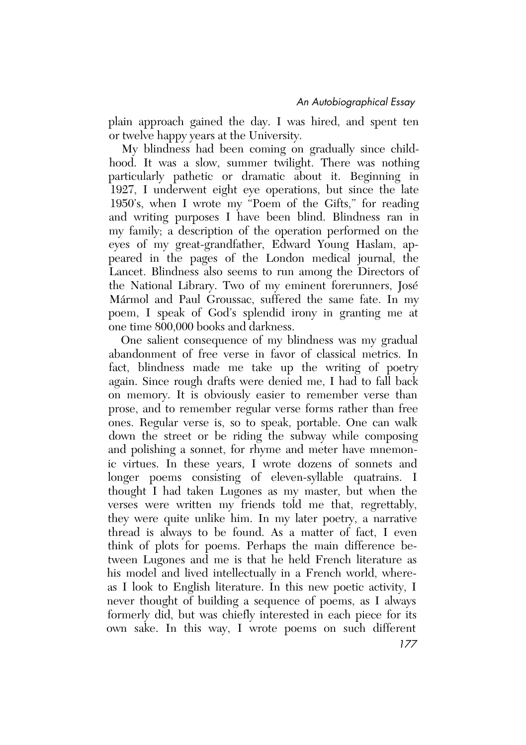plain approach gained the day. I was hired, and spent ten or twelve happy years at the University.

My blindness had been coming on gradually since childhood. It was a slow, summer twilight. There was nothing particularly pathetic or dramatic about it. Beginning in 1927, I underwent eight eye operations, but since the late 1950's, when I wrote my "Poem of the Gifts," for reading and writing purposes I have been blind. Blindness ran in my family; a description of the operation performed on the eyes of my great-grandfather, Edward Young Haslam, appeared in the pages of the London medical journal, the Lancet. Blindness also seems to run among the Directors of the National Library. Two of my eminent forerunners, José Mármol and Paul Groussac, suffered the same fate. In my poem, I speak of God's splendid irony in granting me at one time 800,000 books and darkness.

One salient consequence of my blindness was my gradual abandonment of free verse in favor of classical metrics. In fact, blindness made me take up the writing of poetry again. Since rough drafts were denied me, I had to fall back on memory. It is obviously easier to remember verse than prose, and to remember regular verse forms rather than free ones. Regular verse is, so to speak, portable. One can walk down the street or be riding the subway while composing and polishing a sonnet, for rhyme and meter have mnemonic virtues. In these years, I wrote dozens of sonnets and longer poems consisting of eleven-syllable quatrains. I thought I had taken Lugones as my master, but when the verses were written my friends told me that, regrettably, they were quite unlike him. In my later poetry, a narrative thread is always to be found. As a matter of fact, I even think of plots for poems. Perhaps the main difference between Lugones and me is that he held French literature as his model and lived intellectually in a French world, whereas I look to English literature. In this new poetic activity, I never thought of building a sequence of poems, as I always formerly did, but was chiefly interested in each piece for its own sake. In this way, I wrote poems on such different *177*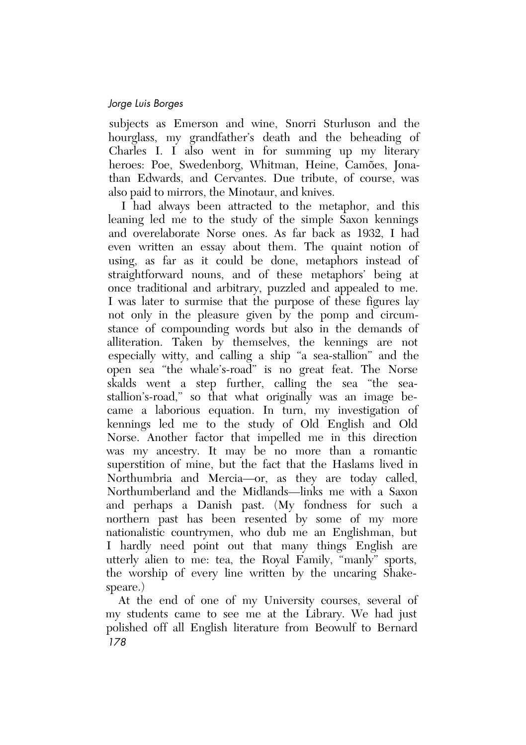subjects as Emerson and wine, Snorri Sturluson and the hourglass, my grandfather's death and the beheading of Charles I. I also went in for summing up my literary heroes: Poe, Swedenborg, Whitman, Heine, Camões, Jonathan Edwards, and Cervantes. Due tribute, of course, was also paid to mirrors, the Minotaur, and knives.

I had always been attracted to the metaphor, and this leaning led me to the study of the simple Saxon kennings and overelaborate Norse ones. As far back as 1932, I had even written an essay about them. The quaint notion of using, as far as it could be done, metaphors instead of straightforward nouns, and of these metaphors' being at once traditional and arbitrary, puzzled and appealed to me. I was later to surmise that the purpose of these figures lay not only in the pleasure given by the pomp and circumstance of compounding words but also in the demands of alliteration. Taken by themselves, the kennings are not especially witty, and calling a ship "a sea-stallion" and the open sea "the whale's-road" is no great feat. The Norse skalds went a step further, calling the sea "the seastallion's-road," so that what originally was an image became a laborious equation. In turn, my investigation of kennings led me to the study of Old English and Old Norse. Another factor that impelled me in this direction was my ancestry. It may be no more than a romantic superstition of mine, but the fact that the Haslams lived in Northumbria and Mercia—or, as they are today called, Northumberland and the Midlands—links me with a Saxon and perhaps a Danish past. (My fondness for such a northern past has been resented by some of my more nationalistic countrymen, who dub me an Englishman, but I hardly need point out that many things English are utterly alien to me: tea, the Royal Family, "manly" sports, the worship of every line written by the uncaring Shakespeare.)

At the end of one of my University courses, several of my students came to see me at the Library. We had just polished off all English literature from Beowulf to Bernard *178*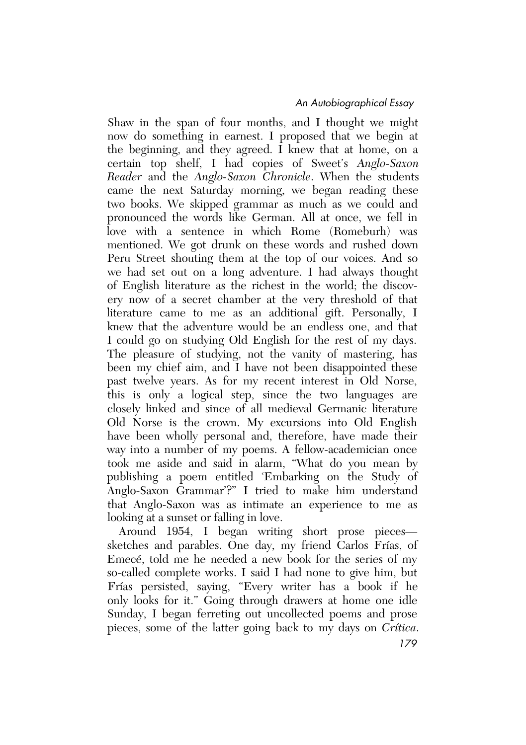Shaw in the span of four months, and I thought we might now do something in earnest. I proposed that we begin at the beginning, and they agreed. I knew that at home, on a certain top shelf, I had copies of Sweet's *Anglo-Saxon Reader* and the *Anglo-Saxon Chronicle*. When the students came the next Saturday morning, we began reading these two books. We skipped grammar as much as we could and pronounced the words like German. All at once, we fell in love with a sentence in which Rome (Romeburh) was mentioned. We got drunk on these words and rushed down Peru Street shouting them at the top of our voices. And so we had set out on a long adventure. I had always thought of English literature as the richest in the world; the discovery now of a secret chamber at the very threshold of that literature came to me as an additional gift. Personally, I knew that the adventure would be an endless one, and that I could go on studying Old English for the rest of my days. The pleasure of studying, not the vanity of mastering, has been my chief aim, and I have not been disappointed these past twelve years. As for my recent interest in Old Norse, this is only a logical step, since the two languages are closely linked and since of all medieval Germanic literature Old Norse is the crown. My excursions into Old English have been wholly personal and, therefore, have made their way into a number of my poems. A fellow-academician once took me aside and said in alarm, "What do you mean by publishing a poem entitled 'Embarking on the Study of Anglo-Saxon Grammar'?" I tried to make him understand that Anglo-Saxon was as intimate an experience to me as looking at a sunset or falling in love.

Around 1954, I began writing short prose pieces sketches and parables. One day, my friend Carlos Frías, of Emecé, told me he needed a new book for the series of my so-called complete works. I said I had none to give him, but Frías persisted, saying, "Every writer has a book if he only looks for it." Going through drawers at home one idle Sunday, I began ferreting out uncollected poems and prose pieces, some of the latter going back to my days on *Crítica*.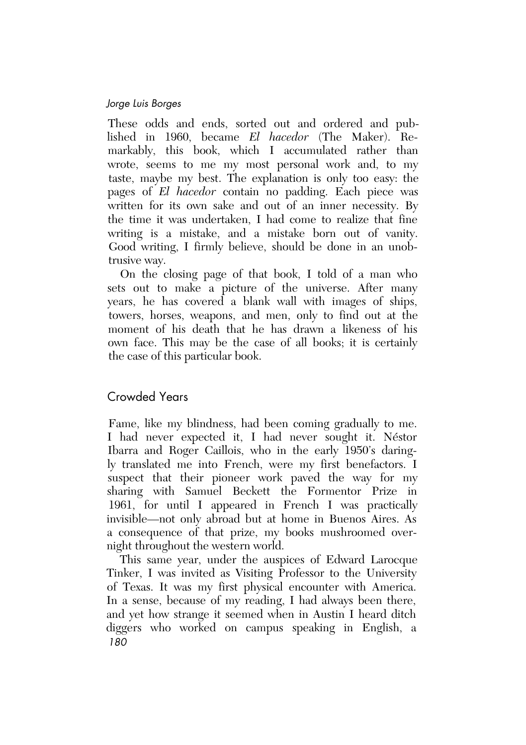These odds and ends, sorted out and ordered and published in 1960, became *El hacedor* (The Maker). Remarkably, this book, which I accumulated rather than wrote, seems to me my most personal work and, to my taste, maybe my best. The explanation is only too easy: the pages of *El hacedor* contain no padding. Each piece was written for its own sake and out of an inner necessity. By the time it was undertaken, I had come to realize that fine writing is a mistake, and a mistake born out of vanity. Good writing, I firmly believe, should be done in an unobtrusive way.

On the closing page of that book, I told of a man who sets out to make a picture of the universe. After many years, he has covered a blank wall with images of ships, towers, horses, weapons, and men, only to find out at the moment of his death that he has drawn a likeness of his own face. This may be the case of all books; it is certainly the case of this particular book.

# Crowded Years

Fame, like my blindness, had been coming gradually to me. I had never expected it, I had never sought it. Néstor Ibarra and Roger Caillois, who in the early 1950's daringly translated me into French, were my first benefactors. I suspect that their pioneer work paved the way for my sharing with Samuel Beckett the Formentor Prize in 1961, for until I appeared in French I was practically invisible—not only abroad but at home in Buenos Aires. As a consequence of that prize, my books mushroomed overnight throughout the western world.

This same year, under the auspices of Edward Larocque Tinker, I was invited as Visiting Professor to the University of Texas. It was my first physical encounter with America. In a sense, because of my reading, I had always been there, and yet how strange it seemed when in Austin I heard ditch diggers who worked on campus speaking in English, a *180*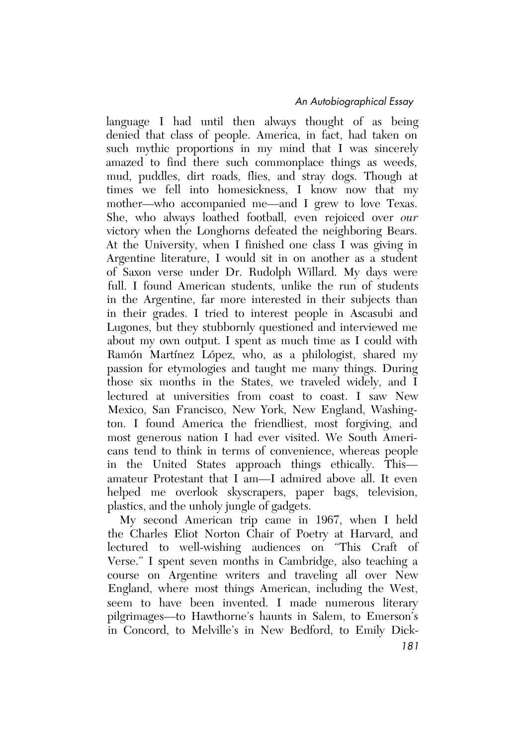language I had until then always thought of as being denied that class of people. America, in fact, had taken on such mythic proportions in my mind that I was sincerely amazed to find there such commonplace things as weeds, mud, puddles, dirt roads, flies, and stray dogs. Though at times we fell into homesickness, I know now that my mother—who accompanied me—and I grew to love Texas. She, who always loathed football, even rejoiced over *our* victory when the Longhorns defeated the neighboring Bears. At the University, when I finished one class I was giving in Argentine literature, I would sit in on another as a student of Saxon verse under Dr. Rudolph Willard. My days were full. I found American students, unlike the run of students in the Argentine, far more interested in their subjects than in their grades. I tried to interest people in Ascasubi and Lugones, but they stubbornly questioned and interviewed me about my own output. I spent as much time as I could with Ramón Martínez López, who, as a philologist, shared my passion for etymologies and taught me many things. During those six months in the States, we traveled widely, and I lectured at universities from coast to coast. I saw New Mexico, San Francisco, New York, New England, Washington. I found America the friendliest, most forgiving, and most generous nation I had ever visited. We South Americans tend to think in terms of convenience, whereas people in the United States approach things ethically. This amateur Protestant that I am—I admired above all. It even helped me overlook skyscrapers, paper bags, television, plastics, and the unholy jungle of gadgets.

My second American trip came in 1967, when I held the Charles Eliot Norton Chair of Poetry at Harvard, and lectured to well-wishing audiences on "This Craft of Verse." I spent seven months in Cambridge, also teaching a course on Argentine writers and traveling all over New England, where most things American, including the West, seem to have been invented. I made numerous literary pilgrimages—to Hawthorne's haunts in Salem, to Emerson's in Concord, to Melville's in New Bedford, to Emily Dick-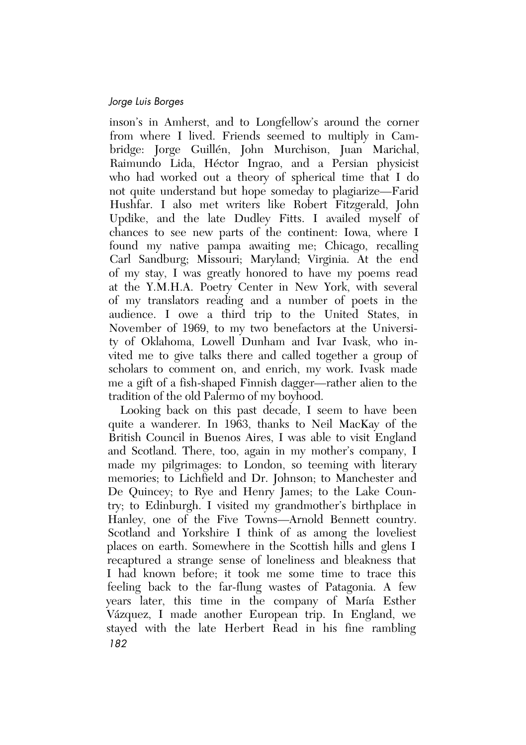inson's in Amherst, and to Longfellow's around the corner from where I lived. Friends seemed to multiply in Cambridge: Jorge Guillén, John Murchison, Juan Marichal, Raimundo Lida, Héctor Ingrao, and a Persian physicist who had worked out a theory of spherical time that I do not quite understand but hope someday to plagiarize—Farid Hushfar. I also met writers like Robert Fitzgerald, John Updike, and the late Dudley Fitts. I availed myself of chances to see new parts of the continent: Iowa, where I found my native pampa awaiting me; Chicago, recalling Carl Sandburg; Missouri; Maryland; Virginia. At the end of my stay, I was greatly honored to have my poems read at the Y.M.H.A. Poetry Center in New York, with several of my translators reading and a number of poets in the audience. I owe a third trip to the United States, in November of 1969, to my two benefactors at the University of Oklahoma, Lowell Dunham and Ivar Ivask, who invited me to give talks there and called together a group of scholars to comment on, and enrich, my work. Ivask made me a gift of a fish-shaped Finnish dagger—rather alien to the tradition of the old Palermo of my boyhood.

Looking back on this past decade, I seem to have been quite a wanderer. In 1963, thanks to Neil MacKay of the British Council in Buenos Aires, I was able to visit England and Scotland. There, too, again in my mother's company, I made my pilgrimages: to London, so teeming with literary memories; to Lichfield and Dr. Johnson; to Manchester and De Quincey; to Rye and Henry James; to the Lake Country; to Edinburgh. I visited my grandmother's birthplace in Hanley, one of the Five Towns—Arnold Bennett country. Scotland and Yorkshire I think of as among the loveliest places on earth. Somewhere in the Scottish hills and glens I recaptured a strange sense of loneliness and bleakness that I had known before; it took me some time to trace this feeling back to the far-flung wastes of Patagonia. A few years later, this time in the company of María Esther Vázquez, I made another European trip. In England, we stayed with the late Herbert Read in his fine rambling *182*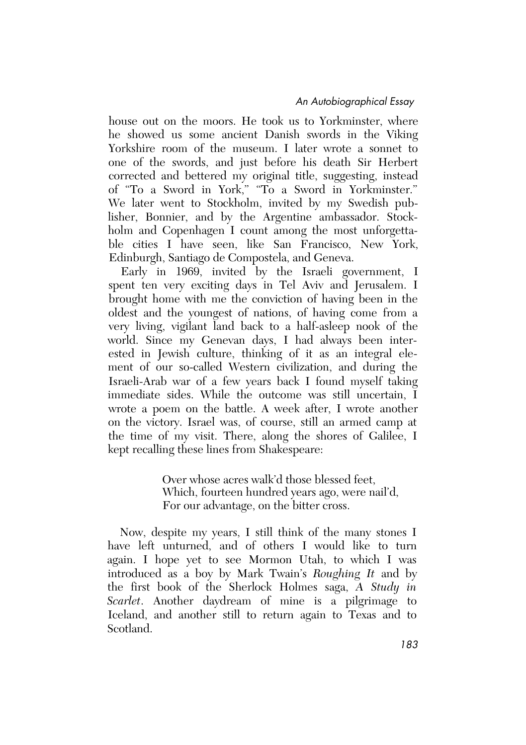house out on the moors. He took us to Yorkminster, where he showed us some ancient Danish swords in the Viking Yorkshire room of the museum. I later wrote a sonnet to one of the swords, and just before his death Sir Herbert corrected and bettered my original title, suggesting, instead of "To a Sword in York," "To a Sword in Yorkminster." We later went to Stockholm, invited by my Swedish publisher, Bonnier, and by the Argentine ambassador. Stockholm and Copenhagen I count among the most unforgettable cities I have seen, like San Francisco, New York, Edinburgh, Santiago de Compostela, and Geneva.

Early in 1969, invited by the Israeli government, I spent ten very exciting days in Tel Aviv and Jerusalem. I brought home with me the conviction of having been in the oldest and the youngest of nations, of having come from a very living, vigilant land back to a half-asleep nook of the world. Since my Genevan days, I had always been interested in Jewish culture, thinking of it as an integral element of our so-called Western civilization, and during the Israeli-Arab war of a few years back I found myself taking immediate sides. While the outcome was still uncertain, I wrote a poem on the battle. A week after, I wrote another on the victory. Israel was, of course, still an armed camp at the time of my visit. There, along the shores of Galilee, I kept recalling these lines from Shakespeare:

> Over whose acres walk'd those blessed feet Which, fourteen hundred years ago, were nail'd, For our advantage, on the bitter cross.

Now, despite my years, I still think of the many stones I have left unturned, and of others I would like to turn again. I hope yet to see Mormon Utah, to which I was introduced as a boy by Mark Twain's *Roughing It* and by the first book of the Sherlock Holmes saga, *A Study in Scarlet*. Another daydream of mine is a pilgrimage to Iceland, and another still to return again to Texas and to Scotland.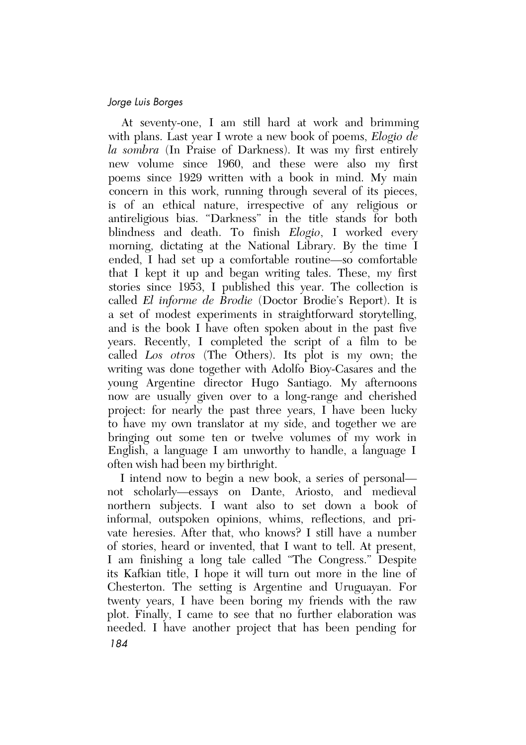At seventy-one, I am still hard at work and brimming with plans. Last year I wrote a new book of poems, *Elogio de la sombra* (In Praise of Darkness). It was my first entirely new volume since 1960, and these were also my first poems since 1929 written with a book in mind. My main concern in this work, running through several of its pieces, is of an ethical nature, irrespective of any religious or antireligious bias. "Darkness" in the title stands for both blindness and death. To finish *Elogio*, I worked every morning, dictating at the National Library. By the time I ended, I had set up a comfortable routine—so comfortable that I kept it up and began writing tales. These, my first stories since 1953, I published this year. The collection is called *El informe de Brodie* (Doctor Brodie's Report). It is a set of modest experiments in straightforward storytelling, and is the book I have often spoken about in the past five years. Recently, I completed the script of a film to be called *Los otros* (The Others). Its plot is my own; the writing was done together with Adolfo Bioy-Casares and the young Argentine director Hugo Santiago. My afternoons now are usually given over to a long-range and cherished project: for nearly the past three years, I have been lucky to have my own translator at my side, and together we are bringing out some ten or twelve volumes of my work in English, a language I am unworthy to handle, a language I often wish had been my birthright.

I intend now to begin a new book, a series of personal not scholarly—essays on Dante, Ariosto, and medieval northern subjects. I want also to set down a book of informal, outspoken opinions, whims, reflections, and private heresies. After that, who knows? I still have a number of stories, heard or invented, that I want to tell. At present, I am finishing a long tale called "The Congress." Despite its Kafkian title, I hope it will turn out more in the line of Chesterton. The setting is Argentine and Uruguayan. For twenty years, I have been boring my friends with the raw plot. Finally, I came to see that no further elaboration was needed. I have another project that has been pending for *184*